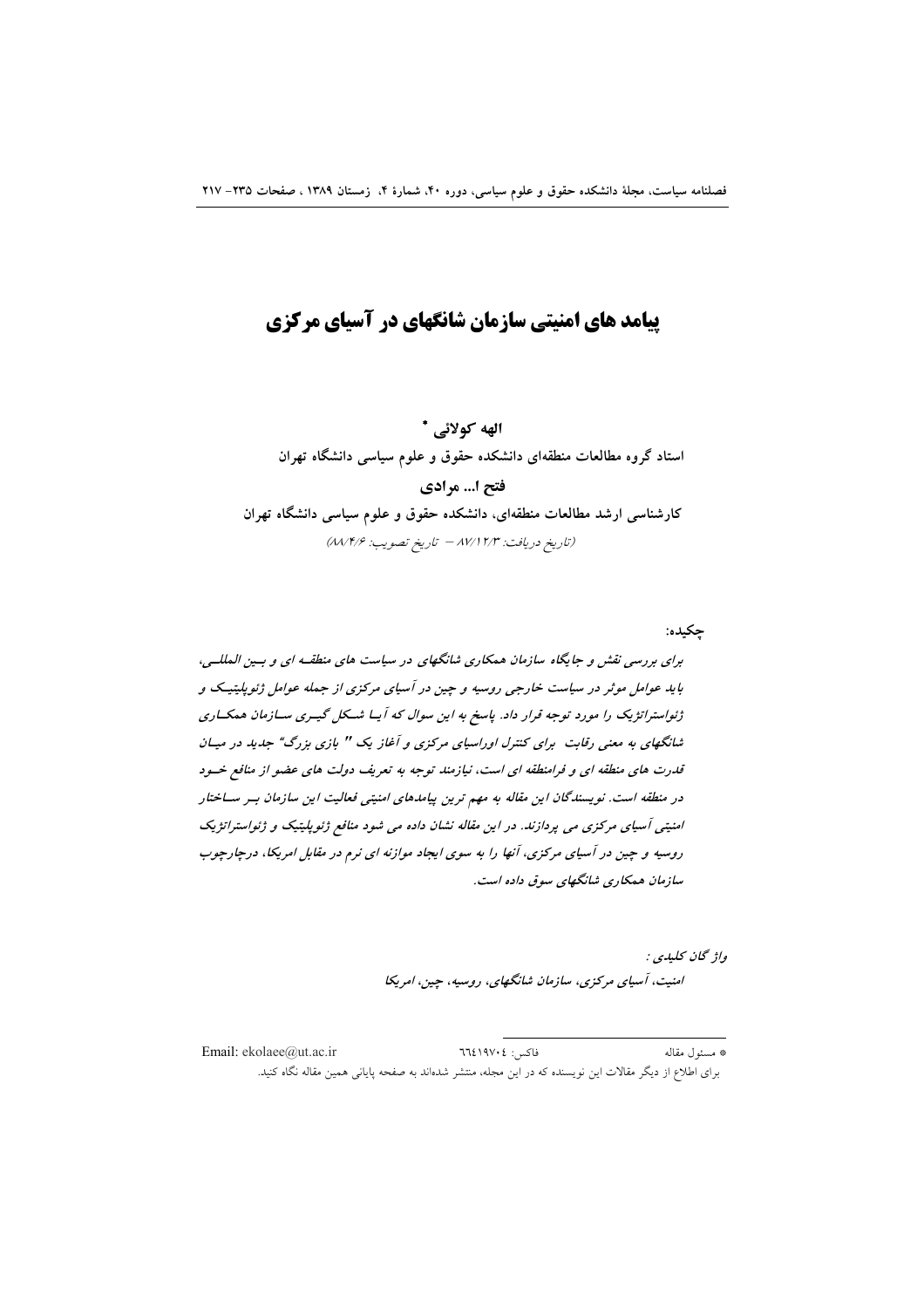# **ییامد های امنیتی سازمان شانگهای در آسیای مرکزی**

الهه كولائي \* استاد گروه مطالعات منطقهای دانشکده حقوق و علوم سیاسی دانشگاه تهران فتح ا… مرادي کارشناسی ارشد مطالعات منطقهای، دانشکده حقوق و علوم سیاسی دانشگاه تهران (تاريخ دريافت: ١٧/١٢/٣ - تاريخ تصويب: ٨٨/١٤/۶)

چکيده:

برای بررسی نقش و جایگاه سازمان همکاری شانگهای در سیاست های منطقـه ای و بـین المللـی، باید عوامل موثر در سیاست خارجی روسیه و چین در آسیای مرکزی از جمله عوامل ژئوپلیتیک و ژئواسترانژیک را مورد توجه قرار داد. پاسخ به این سوال که آ بـا شــکل گیــری ســازمان همکــاری شانگهای به معنی رقابت برای کنترل اوراسیای مرکزی و آغاز یک " بازی بزرگ" جدید در میـان قدرت های منطقه ای و فرامنطقه ای است، نیازمند توجه به تعریف دولت های عضو از منافع خسود در منطقه است. نویسندگان این مقاله به مهم ترین پیامدهای امنیتی فعالیت این سازمان بسر ساختار امنیتی آسیای مرکزی می پردازند. در این مقاله نشان داده می شود منافع ژئوپلیتیک و ژئواستراتژیک روسیه و چین در آسیای مرکزی، آنها را به سوی ایجاد موازنه ای نرم در مقابل امریکا، درچارچوب سازمان همکاری شانگهای سوق داده است.

> واژ گان کليدي : امنیت، آسپای مرکزی، سازمان شانگهای، روسیه، چین، امریکا

Email: ekolaee@ut.ac.ir  $77219V:2:15$ \* مسئول مقاله برای اطلاع از دیگر مقالات این نویسنده که در این مجله، منتشر شدهاند به صفحه پایانی همین مقاله نگاه کنید.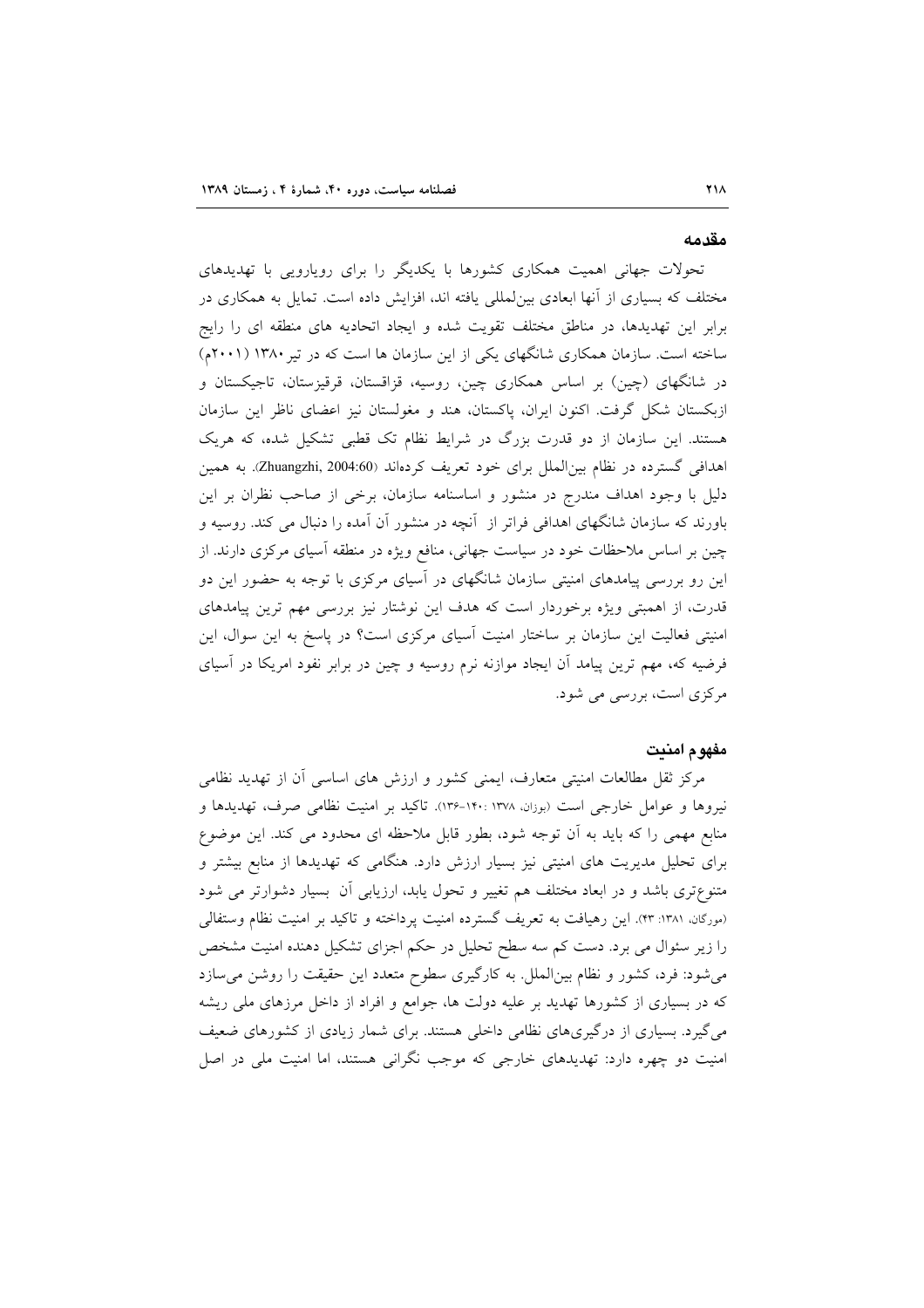### مقدمه

تحولات جهانی اهمیت همکاری کشورها با یکدیگر را برای رویارویی با تهدیدهای مختلف که بسیاری از آنها ابعادی بینِ لمللی یافته اند، افزایش داده است. تمایل به همکاری در برابر این تهدیدها، در مناطق مختلف تقویت شده و ایجاد اتحادیه های منطقه ای را رایج ساخته است. سازمان همکاری شانگهای یکی از این سازمان ها است که در تیر ۱۳۸۰ (۲۰۰۱م) در شانگهای (چین) بر اساس همکاری چین، روسیه، قزاقستان، قرقیزستان، تاجیکستان و ازبکستان شکل گرفت. اکنون ایران، پاکستان، هند و مغولستان نیز اعضای ناظر این سازمان هستند. این سازمان از دو قدرت بزرگ در شرایط نظام تک قطبی تشکیل شده، که هریک اهدافی گسترده در نظام بین الملل برای خود تعریف کردهاند (Zhuangzhi, 2004:60). به همین دلیل با وجود اهداف مندرج در منشور و اساسنامه سازمان، برخی از صاحب نظران بر این باورند که سازمان شانگهای اهدافی فراتر از آنچه در منشور آن آمده را دنبال می کند. روسیه و چین بر اساس ملاحظات خود در سیاست جهانی، منافع ویژه در منطقه آسیای مرکزی دارند. از این رو بررسی پیامدهای امنیتی سازمان شانگهای در آسیای مرکزی با توجه به حضور این دو قدرت، از اهمبتی ویژه برخوردار است که هدف این نوشتار نیز بررسی مهم ترین پیامدهای امنیتی فعالیت این سازمان بر ساختار امنیت آسیای مرکزی است؟ در پاسخ به این سوال، این فرضیه که، مهم ترین پیامد آن ایجاد موازنه نرم روسیه و چین در برابر نفود امریکا در آسیای مرکزی است، بررسی می شود.

### مفهوم امنيت

مرکز ثقل مطالعات امنیتی متعارف، ایمنی کشور و ارزش های اساسی آن از تهدید نظامی نیروها و عوامل خارجی است (بوزان، ۱۳۷۸ :۱۴۰-۱۳۶). تاکید بر امنیت نظامی صرف، تهدیدها و منابع مهمی را که باید به آن توجه شود، بطور قابل ملاحظه ای محدود می کند. این موضوع برای تحلیل مدیریت های امنیتی نیز بسیار ارزش دارد. هنگامی که تهدیدها از منابع بیشتر و متنوعتری باشد و در ابعاد مختلف هم تغییر و تحول یابد، ارزیابی اَن ۖ بسیار دشوارتر می شود (مورگان، ۱۳۸۱: ۴۳). این رهیافت به تعریف گسترده امنیت پرداخته و تاکید بر امنیت نظام وستفالی را زیر سئوال می برد. دست کم سه سطح تحلیل در حکم اجزای تشکیل دهنده امنیت مشخص می شود: فرد، کشور و نظام بین الملل. به کارگیری سطوح متعدد این حقیقت را روشن می سازد که در بسیاری از کشورها تهدید بر علیه دولت ها، جوامع و افراد از داخل مرزهای ملی ریشه می گیرد. بسیاری از درگیریهای نظامی داخلی هستند. برای شمار زیادی از کشورهای ضعیف امنیت دو چهره دارد: تهدیدهای خارجی که موجب نگرانی هستند، اما امنیت ملی در اصل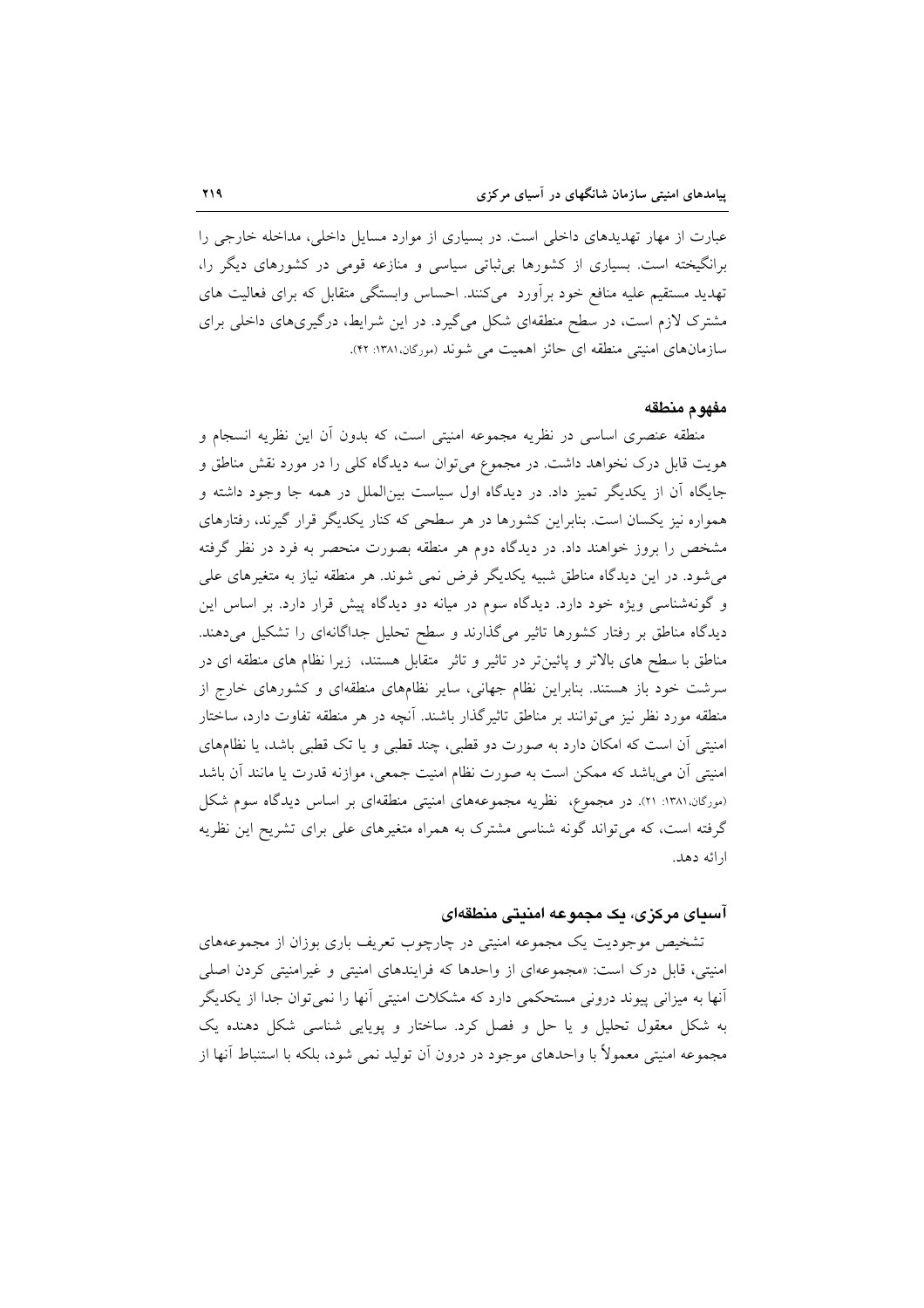عبارت از مهار تهدیدهای داخلی است. در بسیاری از موارد مسایل داخلی، مداخله خارجی را برانگیخته است. بسیاری از کشورها بی ثباتی سیاسی و منازعه قومی در کشورهای دیگر را، تهدید مستقیم علیه منافع خود برآورد ًمیکنند. احساس وابستگی متقابل که برای فعالیت های مشترک لازم است، در سطح منطقهای شکل میگیرد. در این شرایط، درگیریهای داخلی برای سازمانهای امنیتی منطقه ای حائز اهمیت می شوند (مورگان،۱۳۸۱: ۴۲).

### مفهوم منطقه

منطقه عنصری اساسی در نظریه مجموعه امنیتی است، که بدون آن این نظریه انسجام و هویت قابل درک نخواهد داشت. در مجموع میتوان سه دیدگاه کلی را در مورد نقش مناطق و جایگاه آن از یکدیگر تمیز داد. در دیدگاه اول سیاست بین|لملل در همه جا وجود داشته و همواره نیز یکسان است. بنابراین کشورها در هر سطحی که کنار یکدیگر قرار گیرند، رفتارهای مشخص را بروز خواهند داد. در دیدگاه دوم هر منطقه بصورت منحصر به فرد در نظر گرفته می شود. در این دیدگاه مناطق شبیه یکدیگر فرض نمی شوند. هر منطقه نیاز به متغیرهای علی و گونهشناسی ویژه خود دارد. دیدگاه سوم در میانه دو دیدگاه پیش قرار دارد. بر اساس این دیدگاه مناطق بر رفتار کشورها تاثیر میگذارند و سطح تحلیل جداگانهای را تشکیل میدهند. مناطق با سطح های بالاتر و پائینتر در تاثیر و تاثر ًمتقابل هستند، زیرا نظام های منطقه ای در سرشت خود باز هستند. بنابراین نظام جهانی، سایر نظامهای منطقهای و کشورهای خارج از منطقه مورد نظر نیز می توانند بر مناطق تاثیرگذار باشند. آنچه در هر منطقه تفاوت دارد، ساختار امنیتی آن است که امکان دارد به صورت دو قطبی، چند قطبی و یا تک قطبی باشد، یا نظامهای امنیتی آن می باشد که ممکن است به صورت نظام امنیت جمعی، موازنه قدرت یا مانند آن باشد (مورگان،۱۳۸۱: ۲۱). در مجموع، نظریه مجموعههای امنیتی منطقهای بر اساس دیدگاه سوم شکل گرفته است، که می تواند گونه شناسی مشترک به همراه متغیرهای علی برای تشریح این نظریه ارائه دهد.

## آسیای مرکزی، یک مجموعه امنیتی منطقهای

تشخیص موجودیت یک مجموعه امنیتی در چارچوب تعریف باری بوزان از مجموعههای امنیتی، قابل درک است: «مجموعهای از واحدها که فرایندهای امنیتی و غیرامنیتی کردن اصلی أنها به میزانی پیوند درونی مستحکمی دارد که مشکلات امنیتی آنها را نمیتوان جدا از یکدیگر به شکل معقول تحلیل و یا حل و فصل کرد. ساختار و پویایی شناسی شکل دهنده یک مجموعه امنیتی معمولاً با واحدهای موجود در درون اَن تولید نمی شود، بلکه با استنباط اَنها از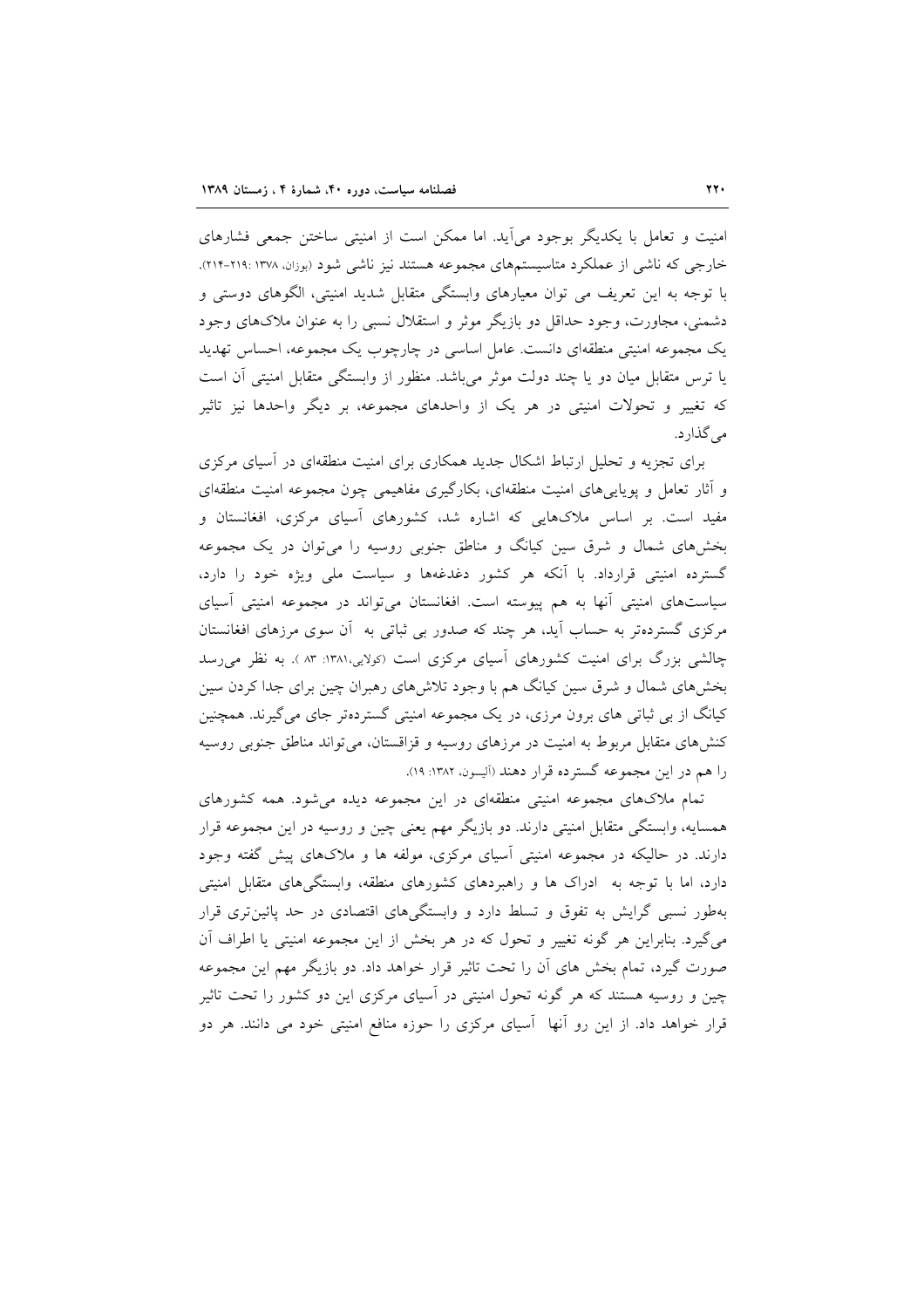امنیت و تعامل با یکدیگر بوجود می آید. اما ممکن است از امنیتی ساختن جمعی فشارهای خارجی که ناشی از عملکرد متاسیستمهای مجموعه هستند نیز ناشی شود (بوزان، ۱۳۷۸: ۲۱۹-۲۱۴). با توجه به این تعریف می توان معیارهای وابستگی متقابل شدید امنیتی، الگوهای دوستی و دشمنی، مجاورت، وجود حداقل دو بازیگر موثر و استقلال نسبی را به عنوان ملاکهای وجود یک مجموعه امنیتی منطقهای دانست. عامل اساسی در چارچوب یک مجموعه، احساس تهدید یا ترس متقابل میان دو یا چند دولت موثر میباشد. منظور از وابستگی متقابل امنیتی آن است که تغییر و تحولات امنیتی در هر یک از واحدهای مجموعه، بر دیگر واحدها نیز تاثیر می گذارد.

برای تجزیه و تحلیل ارتباط اشکال جدید همکاری برای امنیت منطقهای در آسیای مرکزی و أثار تعامل و پویاییهای امنیت منطقهای، بکارگیری مفاهیمی چون مجموعه امنیت منطقهای مفید است. بر اساس ملاکهایی که اشاره شد، کشورهای آسیای مرکزی، افغانستان و بخشهای شمال و شرق سین کیانگ و مناطق جنوبی روسیه را میٍتوان در یک مجموعه گسترده امنیتی قرارداد. با آنکه هر کشور دغدغهها و سیاست ملی ویژه خود را دارد، سیاستهای امنیتی آنها به هم پیوسته است. افغانستان می تواند در مجموعه امنیتی آسیای مرکزی گستردهتر به حساب أید، هر چند که صدور بی ثباتی به أن سوی مرزهای افغانستان چالشی بزرگ برای امنیت کشورهای آسیای مرکزی است (کولایی،۱۳۸۱: ۸۳ ). به نظر می رسد بخشهای شمال و شرق سین کیانگ هم با وجود تلاشهای رهبران چین برای جدا کردن سین کیانگ از بی ثباتی های برون مرزی، در یک مجموعه امنیتی گستردهتر جای میگیرند. همچنین کنشهای متقابل مربوط به امنیت در مرزهای روسیه و قزاقستان، می تواند مناطق جنوبی روسیه را هم در این مجموعه گسترده قرار دهند (ألیسون، ۱۳۸۲: ۱۹).

تمام ملاکهای مجموعه امنیتی منطقهای در این مجموعه دیده می شود. همه کشورهای همسایه، وابستگی متقابل امنیتی دارند. دو بازیگر مهم یعنی چین و روسیه در این مجموعه قرار دارند. در حالیکه در مجموعه امنیتی آسیای مرکزی، مولفه ها و ملاکهای پیش گفته وجود دارد، اما با توجه به ادراک ها و راهبردهای کشورهای منطقه، وابستگیهای متقابل امنیتی بهطور نسبی گرایش به تفوق و تسلط دارد و وابستگیهای اقتصادی در حد پائین تری قرار می گیرد. بنابراین هر گونه تغییر و تحول که در هر بخش از این مجموعه امنیتی یا اطراف آن صورت گیرد، تمام بخش های آن را تحت تاثیر قرار خواهد داد. دو بازیگر مهم این مجموعه چین و روسیه هستند که هر گونه تحول امنیتی در اسیای مرکزی این دو کشور را تحت تاثیر قرار خواهد داد. از این رو آنها آسیای مرکزی را حوزه منافع امنیتی خود می دانند. هر دو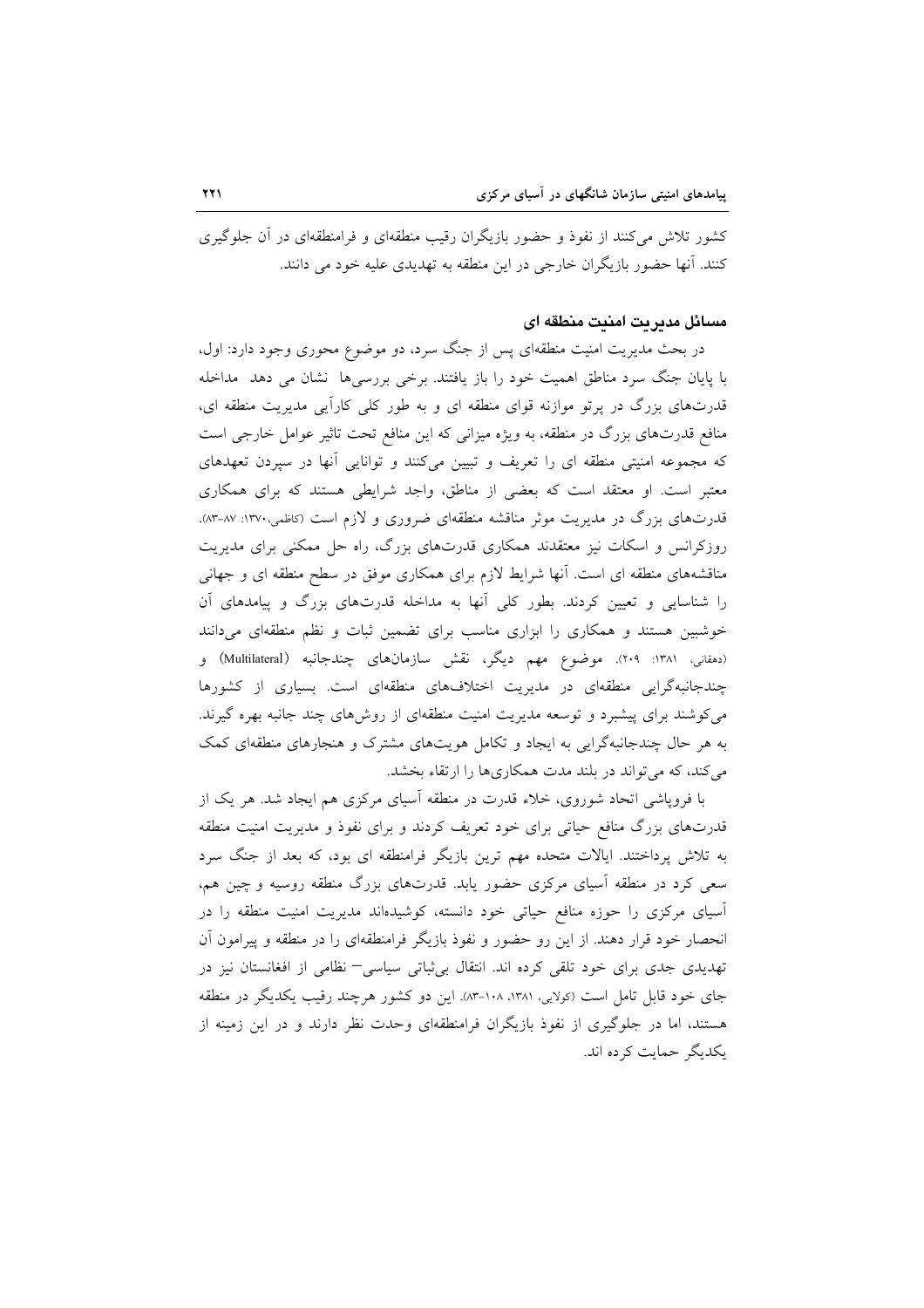کشور تلاش میکنند از نفوذ و حضور بازیگران رقیب منطقهای و فرامنطقهای در آن جلوگیری کنند. آنها حضور بازیگران خارجی در این منطقه به تهدیدی علیه خود می دانند.

### مسائل مديريت امنيت منطقه اي

در بحث مدیریت امنیت منطقهای پس از جنگ سرد، دو موضوع محوری وجود دارد: اول، با پایان جنگ سرد مناطق اهمیت خود را باز یافتند. برخی بررسیها نشان می دهد ً مداخله قدرتهای بزرگ در پرتو موازنه قوای منطقه ای و به طور کلی کارآیی مدیریت منطقه ای، منافع قدرتهای بزرگ در منطقه، به ویژه میزانی که این منافع تحت تاثیر عوامل خارجی است که مجموعه امنیتی منطقه ای را تعریف و تبیین میکنند و توانایی آنها در سپردن تعهدهای معتبر است. او معتقد است که بعضی از مناطق، واجد شرایطی هستند که برای همکاری قدرتهای بزرگ در مدیریت موثر مناقشه منطقهای ضروری و لازم است (کاظمی،۱۳۷۰: ۸۷-۸۳). روزکرانس و اسکات نیز معتقدند همکاری قدرتهای بزرگ، راه حل ممکنی برای مدیریت مناقشههای منطقه ای است. آنها شرایط لازم برای همکاری موفق در سطح منطقه ای و جهانی را شناسایی و تعیین کردند. بطور کلی آنها به مداخله قدرتهای بزرگ و پیامدهای آن خوشبین هستند و همکاری را ابزاری مناسب برای تضمین ثبات و نظم منطقهای میدانند (دهقانی، ۱۳۸۱: ۲۰۹). موضوع مهم دیگر، نقش سازمانهای چندجانبه (Multilateral) و چندجانبهگرایی منطقهای در مدیریت اختلافهای منطقهای است. بسیاری از کشورها می کوشند برای پیشبرد و توسعه مدیریت امنیت منطقهای از روش۵ای چند جانبه بهره گیرند. به هر حال چندجانبهگرایی به ایجاد و تکامل هویتهای مشترک و هنجارهای منطقهای کمک می کند، که می تواند در بلند مدت همکاریها را ارتقاء بخشد.

با فروپاشی اتحاد شوروی، خلاء قدرت در منطقه آسیای مرکزی هم ایجاد شد. هر یک از قدرتهای بزرگ منافع حیاتی برای خود تعریف کردند و برای نفوذ و مدیریت امنیت منطقه به تلاش پرداختند. ایالات متحده مهم ترین بازیگر فرامنطقه ای بود، که بعد از جنگ سرد سعی کرد در منطقه آسیای مرکزی حضور یابد. قدرتهای بزرگ منطقه روسیه و چین هم، آسیای مرکزی را حوزه منافع حیاتی خود دانسته، کوشیدهاند مدیریت امنیت منطقه را در انحصار خود قرار دهند. از این رو حضور و نفوذ بازیگر فرامنطقهای را در منطقه و پیرامون آن تهدیدی جدی برای خود تلقی کرده اند. انتقال بی¢تاتی سیاسی− نظامی از افغانستان نیز در جای خود قابل تامل است (کولایی، ۱۳۸۱، ۱۰۸–۸۳). این دو کشور هرچند رقیب یکدیگر در منطقه هستند، اما در جلوگیری از نفوذ بازیگران فرامنطقهای وحدت نظر دارند و در این زمینه از یکدیگر حمایت کرده اند.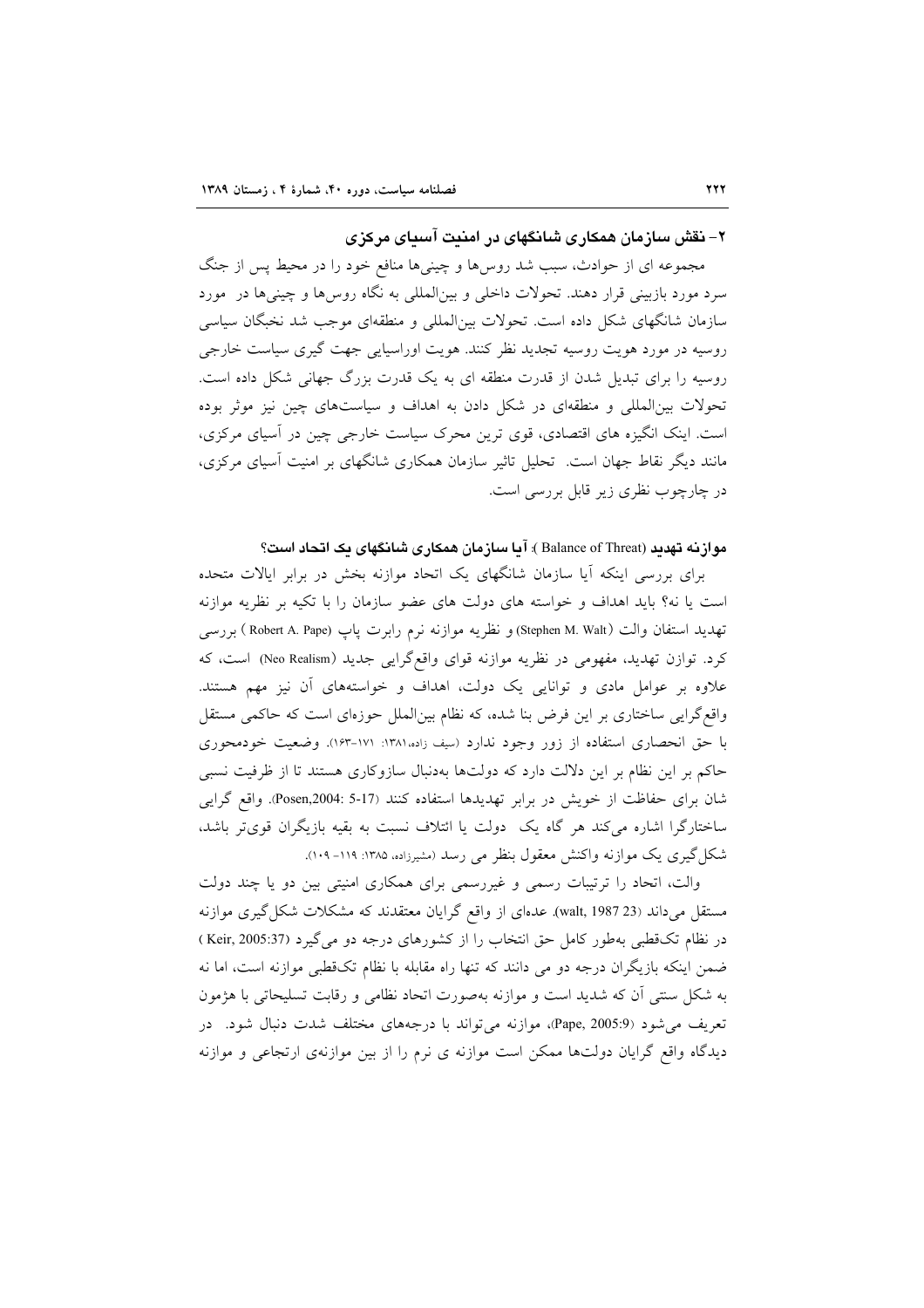۲– نقش سازمان همکاری شانگهای در امنیت آسیای مرکزی

مجموعه ای از حوادث، سبب شد روسها و چینیها منافع خود را در محیط پس از جنگ سرد مورد بازبینی قرار دهند. تحولات داخلی و بین|لمللی به نگاه روس۵ا و چینیها در ً مورد سازمان شانگهای شکل داده است. تحولات بین|لمللی و منطقهای موجب شد نخبگان سیاسی روسیه در مورد هویت روسیه تجدید نظر کنند. هویت اوراسیایی جهت گیری سیاست خارجی روسیه را برای تبدیل شدن از قدرت منطقه ای به یک قدرت بزرگ جهانی شکل داده است. تحولات بین المللی و منطقهای در شکل دادن به اهداف و سیاستهای چین نیز موثر بوده است. اینک انگیزه های اقتصادی، قوی ترین محرک سیاست خارجی چین در آسیای مرکزی، مانند دیگر نقاط جهان است. تحلیل تاثیر سازمان همکاری شانگهای بر امنیت آسیای مرکزی، در چارچوب نظری زیر قابل بررسی است.

مواز نه تهدید (Balance of Threat ): آیا سازمان همکاری شانگهای یک اتحاد است؟

برای بررسی اینکه آیا سازمان شانگهای یک اتحاد موازنه بخش در برابر ایالات متحده است یا نه؟ باید اهداف و خواسته های دولت های عضو سازمان را با تکیه بر نظریه موازنه تهديد استفان والت (Stephen M. Walt) و نظريه موازنه نرم رابرت پاپ (Robert A. Pape ) بررسي کرد. توازن تهدید، مفهومی در نظریه موازنه قوای واقعگرایی جدید (Neo Realism) است، که علاوه بر عوامل مادی و توانایی یک دولت، اهداف و خواستههای آن نیز مهم هستند. واقع گرایی ساختاری بر این فرض بنا شده، که نظام بینالملل حوزهای است که حاکمی مستقل با حق انحصاری استفاده از زور وجود ندارد (سف زاده ۱۳۸۱: ۱۶۱–۱۶۳). وضعیت خودمحوری حاکم بر این نظام بر این دلالت دارد که دولتها بهدنبال سازوکاری هستند تا از ظرفیت نسبی شان برای حفاظت از خویش در برابر تهدیدها استفاده کنند (17-5 :Posen,2004). واقع گرایی ساختارگرا اشاره میکند هر گاه یک دولت یا ائتلاف نسبت به بقیه بازیگران قویتر باشد، شکل گیری یک موازنه واکنش معقول بنظر می رسد (مشیرزاده، ۱۳۸۵: ۱۱۹– ۱۰۹).

والت، اتحاد را ترتیبات رسمی و غیررسمی برای همکاری امنیتی بین دو یا چند دولت مستقل می داند (walt, 1987 23). عدهای از واقع گرایان معتقدند که مشکلات شکل گیری موازنه در نظام تک قطبی بهطور کامل حق انتخاب را از کشورهای درجه دو می گیرد (Keir, 2005:37) ضمن اینکه بازیگران درجه دو می دانند که تنها راه مقابله با نظام تکقطبی موازنه است، اما نه به شکل سنتی آن که شدید است و موازنه بهصورت اتحاد نظامی و رقابت تسلیحاتی با هژمون تعریف می شود (Pape, 2005:9)، موازنه می تواند با درجههای مختلف شدت دنبال شود. در دیدگاه واقع گرایان دولتها ممکن است موازنه ی نرم را از بین موازنهی ارتجاعی و موازنه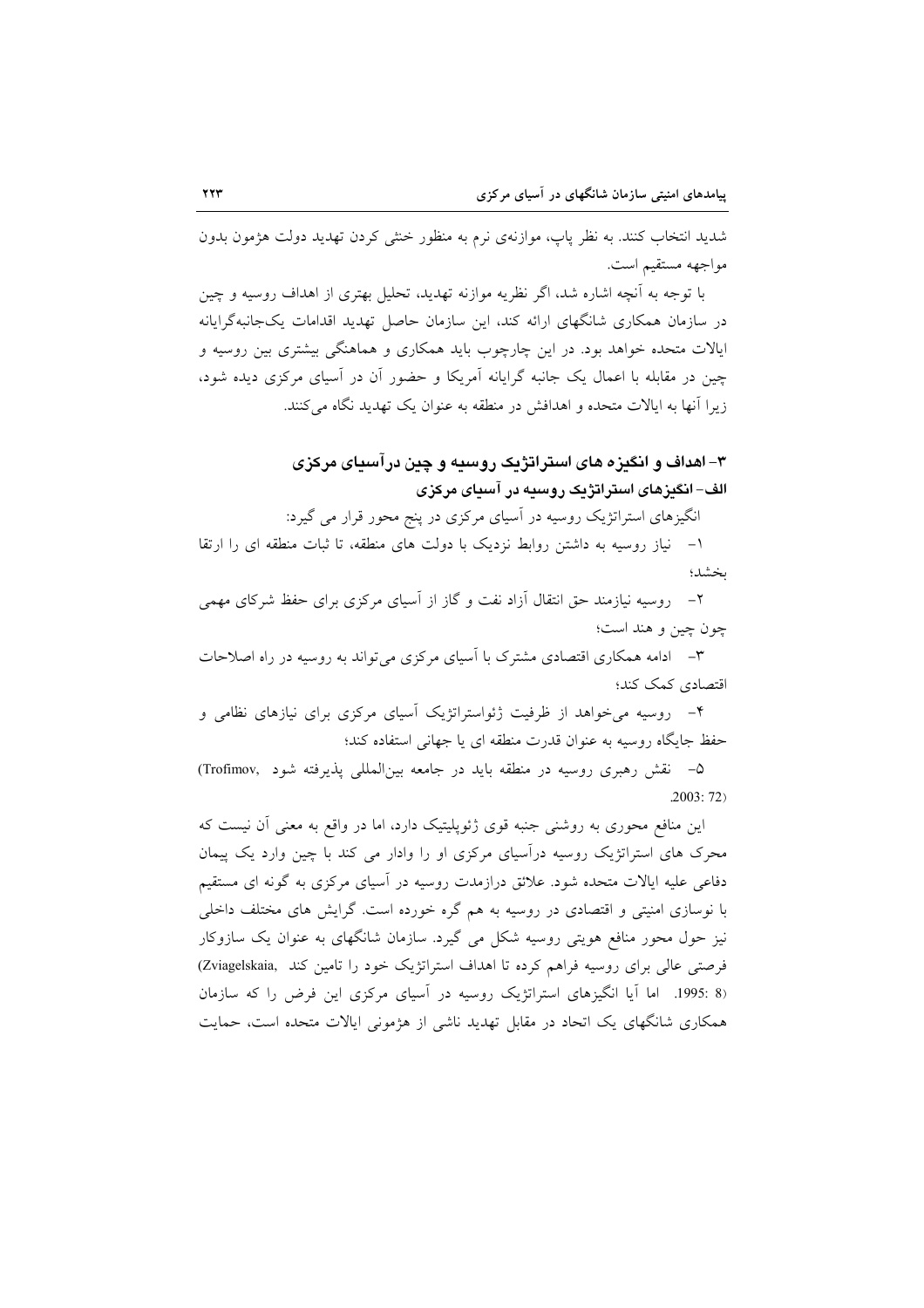شدید انتخاب کنند. به نظر پاپ، موازنهی نرم به منظور خنثی کردن تهدید دولت هژمون بدون مواجهه مستقيم است.

با توجه به آنچه اشاره شد، اگر نظریه موازنه تهدید، تحلیل بهتری از اهداف روسیه و چین در سازمان همکاری شانگهای ارائه کند، این سازمان حاصل تهدید اقدامات یکجانبهگرایانه ایالات متحده خواهد بود. در این چارچوب باید همکاری و هماهنگی بیشتری بین روسیه و چین در مقابله با اعمال یک جانبه گرایانه آمریکا و حضور آن در آسیای مرکزی دیده شود، زیرا آنها به ایالات متحده و اهدافش در منطقه به عنوان یک تهدید نگاه می کنند.

# ۳– اهداف و انگیزه های استراتژیک روسیه و چین درآسیای مرکزی الف–انگېزهای استراتژيک روسېه در آسياي مرکزي

انگیزهای استراتژیک روسیه در آسیای مرکزی در پنج محور قرار می گیرد:

١- نياز روسيه به داشتن روابط نزديک با دولت هاى منطقه، تا ثبات منطقه اى را ارتقا وينتشدون

۲– روسیه نیازمند حق انتقال آزاد نفت و گاز از آسیای مرکزی برای حفظ شرکای مهمی چون چین و هند است؛

۳– ادامه همکاری اقتصادی مشترک با آسیای مرکزی می تواند به روسیه در راه اصلاحات اقتصادي كمك كند؛

۴- روسیه می خواهد از ظرفیت ژئواستراتژیک آسیای مرکزی برای نیازهای نظامی و حفظ جایگاه روسیه به عنوان قدرت منطقه ای یا جهانی استفاده کند؛

۵- نقش رهبری روسیه در منطقه باید در جامعه بینالمللی پذیرفته شود ,Trofimov  $.2003:72)$ 

این منافع محوری به روشنی جنبه قوی ژئوپلیتیک دارد، اما در واقع به معنی آن نیست که محرک های استراتژیک روسیه درآسیای مرکزی او را وادار می کند با چین وارد یک پیمان دفاعی علیه ایالات متحده شود. علائق درازمدت روسیه در آسیای مرکزی به گونه ای مستقیم با نوسازی امنیتی و اقتصادی در روسیه به هم گره خورده است. گرایش های مختلف داخلی نیز حول محور منافع هویتی روسیه شکل می گیرد. سازمان شانگهای به عنوان یک سازوکار فرصتی عالی برای روسیه فراهم کرده تا اهداف استراتژیک خود را تامین کند .Zviagelskaia) (8 :1995. اما آیا انگیزهای استراتژیک روسیه در آسیای مرکزی این فرض را که سازمان همکاری شانگهای یک اتحاد در مقابل تهدید ناشی از هژمونی ایالات متحده است، حمایت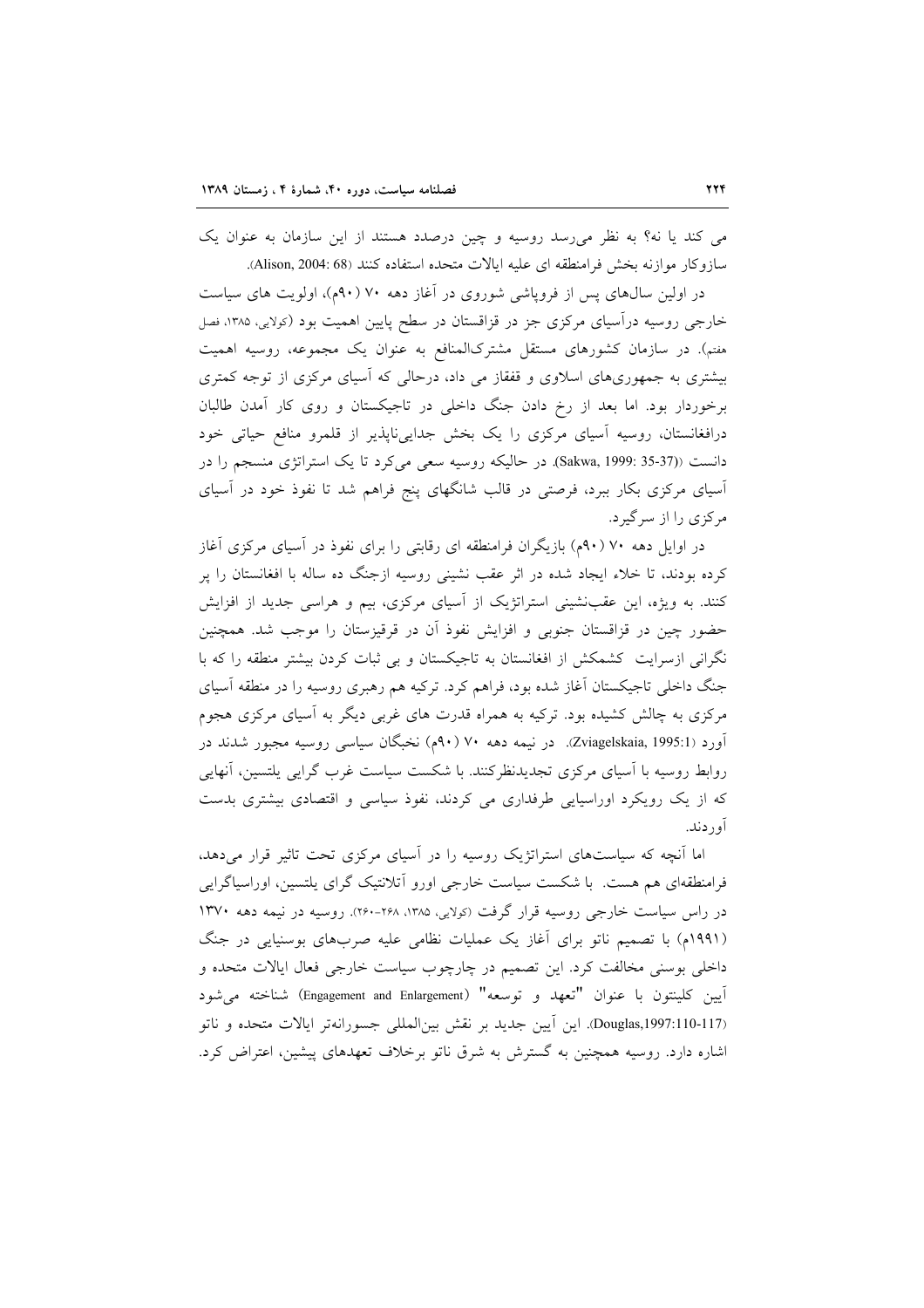می کند یا نه؟ به نظر می رسد روسیه و چین درصدد هستند از این سازمان به عنوان یک سازوكار موازنه بخش فرامنطقه اي عليه ابالات متحده استفاده كنند (Alison, 2004: 68).

در اولین سال،های پس از فروپاشی شوروی در آغاز دهه ۷۰ (۹۰م)، اولویت های سیاست خارجی روسیه درآسیای مرکزی جز در قزاقستان در سطح پایین اهمیت بود (کولایی، ۱۳۸۵، فصل هفتم). در سازمان کشورهای مستقل مشترکالمنافع به عنوان یک مجموعه، روسیه اهمیت بیشتری به جمهوریهای اسلاوی و قفقاز می داد، درحالی که آسیای مرکزی از توجه کمتری برخوردار بود. اما بعد از رخ دادن جنگ داخلی در تاجیکستان و روی کار آمدن طالبان درافغانستان، روسیه آسیای مرکزی را یک بخش جدایی ناپذیر از قلمرو منافع حیاتی خود دانست ((35-35 :Sakwa, 1999). در حاليكه روسيه سعى مى كرد تا يك استراتژى منسجم را در آسیای مرکزی بکار ببرد، فرصتی در قالب شانگهای پنج فراهم شد تا نفوذ خود در آسیای مرکزی را از سرگیرد.

در اوایل دهه ۷۰ (۹۰م) بازیگران فرامنطقه ای رقابتی را برای نفوذ در آسیای مرکزی آغاز کرده بودند، تا خلاء ایجاد شده در اثر عقب نشینی روسیه ازجنگ ده ساله با افغانستان را پر کنند. به ویژه، این عقبنشینی استراتژیک از آسیای مرکزی، بیم و هراسی جدید از افزایش حضور چین در قزاقستان جنوبی و افزایش نفوذ آن در قرقیزستان را موجب شد. همچنین نگرانی ازسرایت کشمکش از افغانستان به تاجیکستان و بی ثبات کردن بیشتر منطقه را که با جنگ داخلی تاجیکستان آغاز شده بود، فراهم کرد. ترکیه هم رهبری روسیه را در منطقه آسیای مرکزی به چالش کشیده بود. ترکیه به همراه قدرت های غربی دیگر به آسیای مرکزی هجوم آورد (Zviagelskaia, 1995:1). در نیمه دهه ۷۰ (۹۰م) نخبگان سیاسی روسیه مجبور شدند در روابط روسیه با آسیای مرکزی تجدیدنظرکنند. با شکست سیاست غرب گرایی یلتسین، آنهایی که از یک رویکرد اوراسیایی طرفداری می کردند، نفوذ سیاسی و اقتصادی بیشتری بدست آو د دند.

اما آنچه که سیاستهای استراتژیک روسیه را در آسیای مرکزی تحت تاثیر قرار میدهد، فرامنطقهای هم هست. با شکست سیاست خارجی اورو اّتلانتیک گرای پلتسین، اوراسپاگرایی در راس سیاست خارجی روسیه قرار گرفت (کولایی، ۱۳۸۵، ۲۶۸-۲۶۰). روسیه در نیمه دهه ۱۳۷۰ (۱۹۹۱م) با تصمیم ناتو برای آغاز یک عملیات نظامی علیه صربهای بوسنیایی در جنگ داخلی بوسنی مخالفت کرد. این تصمیم در چارچوب سیاست خارجی فعال ایالات متحده و آيين كلينتون با عنوان "تعهد و توسعه" (Engagement and Enlargement) شناخته مي شود (Douglas,1997:110-117). اين أيين جديد بر نقش بين المللي جسورانهتر ايالات متحده و ناتو اشاره دارد. روسیه همچنین به گسترش به شرق ناتو برخلاف تعهدهای پیشین، اعتراض کرد.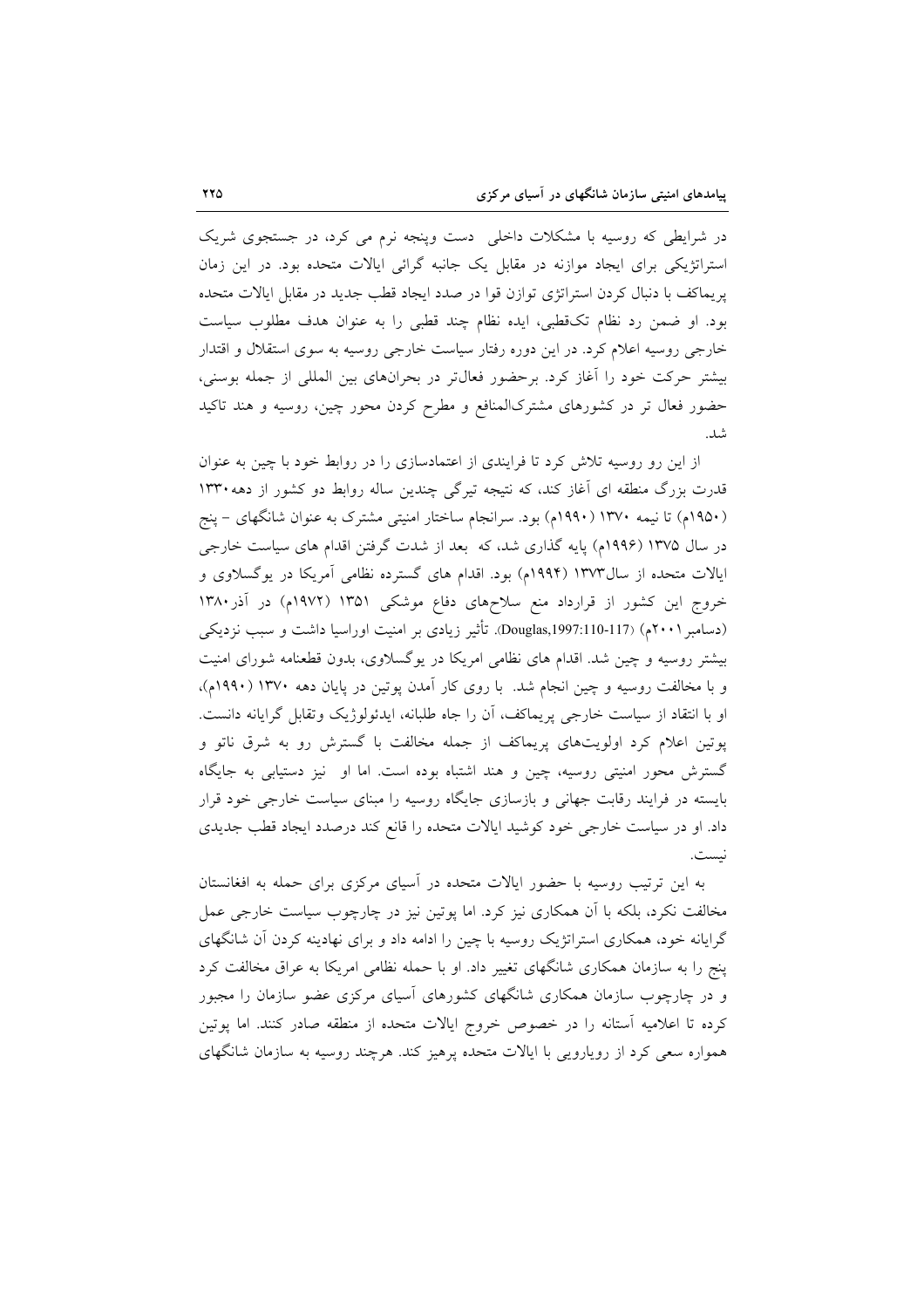در شرایطی که روسیه با مشکلات داخلی دست وینجه نرم می کرد، در جستجوی شریک استراتژیکی برای ایجاد موازنه در مقابل یک جانبه گرائی ایالات متحده بود. در این زمان پریماکف با دنبال کردن استراتژی توازن قوا در صدد ایجاد قطب جدید در مقابل ایالات متحده بود. او ضمن رد نظام تکقطبی، ایده نظام چند قطبی را به عنوان هدف مطلوب سیاست خارجی روسیه اعلام کرد. در این دوره رفتار سیاست خارجی روسیه به سوی استقلال و اقتدار بیشتر حرکت خود را آغاز کرد. برحضور فعالتر در بحرانهای بین المللی از جمله بوسنی، حضور فعال تر در کشورهای مشترکالمنافع و مطرح کردن محور چین، روسیه و هند تاکید شد.

از این رو روسیه تلاش کرد تا فرایندی از اعتمادسازی را در روابط خود با چین به عنوان قدرت بزرگ منطقه ای آغاز کند، که نتیجه تیرگی چندین ساله روابط دو کشور از دهه ۱۳۳۰ (۱۹۵۰م) تا نیمه ۱۳۷۰ (۱۹۹۰م) بود. سرانجام ساختار امنیتی مشترک به عنوان شانگهای – پنج در سال ۱۳۷۵ (۱۹۹۶م) پایه گذاری شد، که بعد از شدت گرفتن اقدام های سیاست خارجی ایالات متحده از سال۱۳۷۳ (۱۹۹۴م) بود. اقدام های گسترده نظامی آمریکا در یوگسلاوی و خروج این کشور از قرارداد منع سلاحهای دفاع موشکی ۱۳۵۱ (۱۹۷۲م) در آذر۱۳۸۰ (دسامبر ۲۰۰۱م) (117-110-Douglas,1997:110). تأثیر زیادی بر امنیت اوراسیا داشت و سبب نزدیکی بیشتر روسیه و چین شد. اقدام های نظامی امریکا در یوگسلاوی، بدون قطعنامه شورای امنیت و با مخالفت روسیه و چین انجام شد. با روی کار آمدن پوتین در پایان دهه ۱۳۷۰ (۱۹۹۰م)، او با انتقاد از سیاست خارجی پریماکف، أن را جاه طلبانه، ایدئولوژیک وتقابل گرایانه دانست. پوتین اعلام کرد اولویتهای پریماکف از جمله مخالفت با گسترش رو به شرق ناتو و گسترش محور امنیتی روسیه، چین و هند اشتباه بوده است. اما او نیز دستیابی به جایگاه بایسته در فرایند رقابت جهانی و بازسازی جایگاه روسیه را مبنای سیاست خارجی خود قرار داد. او در سیاست خارجی خود کوشید ایالات متحده را قانع کند درصدد ایجاد قطب جدیدی نست.

به این ترتیب روسیه با حضور ایالات متحده در آسیای مرکزی برای حمله به افغانستان مخالفت نکرد، بلکه با آن همکاری نیز کرد. اما پوتین نیز در چارچوب سیاست خارجی عمل گرایانه خود، همکاری استراتژیک روسیه با چین را ادامه داد و برای نهادینه کردن آن شانگهای پنج را به سازمان همکاری شانگهای تغییر داد. او با حمله نظامی امریکا به عراق مخالفت کرد و در چارچوب سازمان همکاری شانگهای کشورهای اسپای مرکزی عضو سازمان را مجبور كرده تا اعلاميه آستانه را در خصوص خروج ايالات متحده از منطقه صادر كنند. اما پوتين همواره سعی کرد از رویارویی با ایالات متحده پرهیز کند. هرچند روسیه به سازمان شانگهای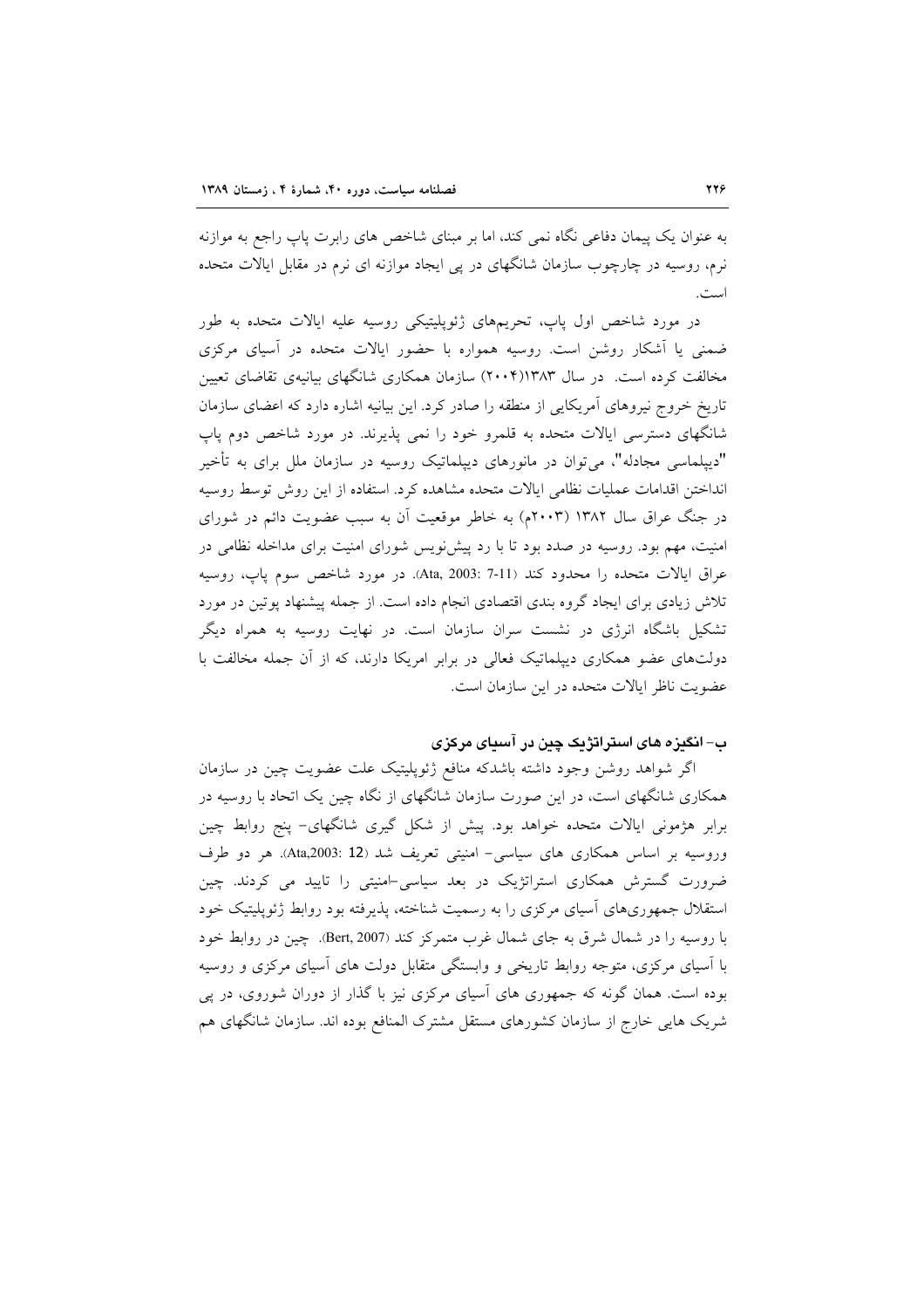به عنوان یک پیمان دفاعی نگاه نمی کند، اما بر مبنای شاخص های رابرت پاپ راجع به موازنه نرم، روسیه در چارچوب سازمان شانگهای در پی ایجاد موازنه ای نرم در مقابل ایالات متحده است.

در مورد شاخص اول پاپ، تحریمهای ژئوپلیتیکی روسیه علیه ایالات متحده به طور ضمنی یا آشکار روشن است. روسیه همواره با حضور ایالات متحده در آسیای مرکزی مخالفت کرده است. در سال ۱۳۸۳(۲۰۰۴) سازمان همکاری شانگهای بیانیهی تقاضای تعیین تاریخ خروج نیروهای آمریکایی از منطقه را صادر کرد. این بیانیه اشاره دارد که اعضای سازمان شانگهای دسترسی ایالات متحده به قلمرو خود را نمی پذیرند. در مورد شاخص دوم پاپ "دیپلماسی مجادله"، میتوان در مانورهای دیپلماتیک روسیه در سازمان ملل برای به تأخیر انداختن اقدامات عمليات نظامى ايالات متحده مشاهده كرد. استفاده از اين روش توسط روسيه در جنگ عراق سال ۱۳۸۲ (۲۰۰۳م) به خاطر موقعیت آن به سبب عضویت دائم در شورای امنیت، مهم بود. روسیه در صدد بود تا با رد پیشنویس شورای امنیت برای مداخله نظامی در عراق ايالات متحده را محدود كند (Ata, 2003: 7-11). در مورد شاخص سوم پاپ، روسيه تلاش زیادی برای ایجاد گروه بندی اقتصادی انجام داده است. از جمله پیشنهاد پوتین در مورد تشکیل باشگاه انرژی در نشست سران سازمان است. در نهایت روسیه به همراه دیگر دولتهای عضو همکاری دیپلماتیک فعالی در برابر امریکا دارند، که از آن جمله مخالفت با عضویت ناظر ایالات متحده در این سازمان است.

# ب– انگیزه های استراتژیک چین در آسیای مرکزی

اگر شواهد روشن وجود داشته باشدکه منافع ژئوپلیتیک علت عضویت چین در سازمان همکاری شانگهای است، در این صورت سازمان شانگهای از نگاه چین یک اتحاد با روسیه در برابر هژمونی ایالات متحده خواهد بود. پیش از شکل گیری شانگهای- پنج روابط چین وروسیه بر اساس همکاری های سیاسی- امنیتی تعریف شد (Ata,2003: 12). هر دو طرف ضرورت گسترش همکاری استراتژیک در بعد سیاسی-امنیتی را تایید می کردند. چین استقلال جمهوریهای آسیای مرکزی را به رسمیت شناخته، پذیرفته بود روابط ژئوپلیتیک خود با روسیه را در شمال شرق به جای شمال غرب متمرکز کند (Bert, 2007). چین در روابط خود با آسیای مرکزی، متوجه روابط تاریخی و وابستگی متقابل دولت های آسیای مرکزی و روسیه بوده است. همان گونه که جمهوری های آسیای مرکزی نیز با گذار از دوران شوروی، در پی شریک هایی خارج از سازمان کشورهای مستقل مشترک المنافع بوده اند. سازمان شانگهای هم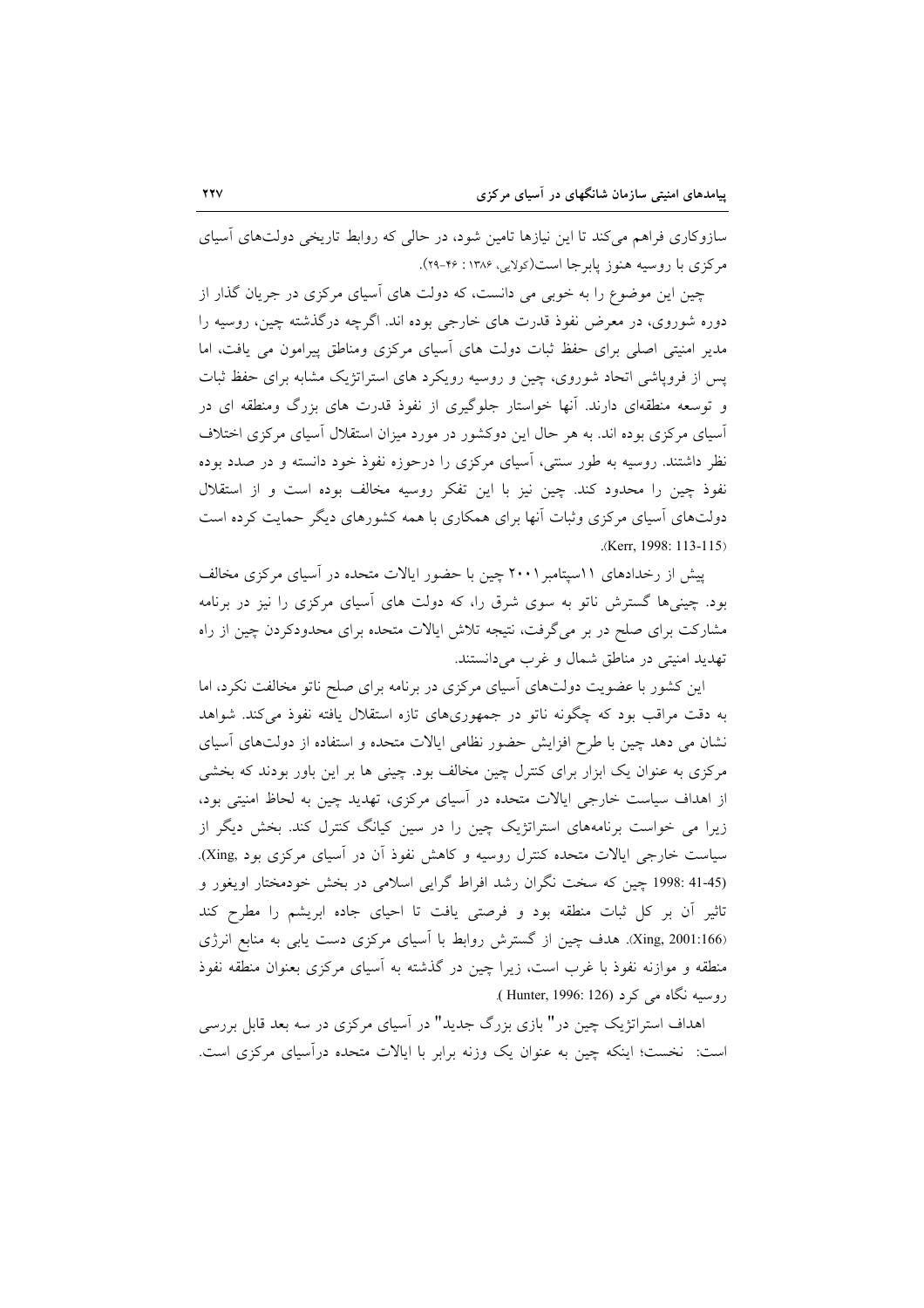سازوکاری فراهم میکند تا این نیازها تامین شود، در حالی که روابط تاریخی دولتهای آسیای مرکزی با روسیه هنوز یابرجا است(کولایی، ۱۳۸۶: ۲۶-۲۹).

چین این موضوع را به خوبی می دانست، که دولت های اسپای مرکزی در جریان گذار از دوره شوروی، در معرض نفوذ قدرت های خارجی بوده اند. اگرچه درگذشته چین، روسیه را مدیر امنیتی اصلی برای حفظ ثبات دولت های آسیای مرکزی ومناطق پیرامون می یافت، اما پس از فروپاشی اتحاد شوروی، چین و روسیه رویکرد های استراتژیک مشابه برای حفظ ثبات و توسعه منطقهای دارند. آنها خواستار جلوگیری از نفوذ قدرت های بزرگ ومنطقه ای در آسیای مرکزی بوده اند. به هر حال این دوکشور در مورد میزان استقلال آسیای مرکزی اختلاف نظر داشتند. روسیه به طور سنتی، آسیای مرکزی را درحوزه نفوذ خود دانسته و در صدد بوده نفوذ چین را محدود کند. چین نیز با این تفکر روسیه مخالف بوده است و از استقلال دولتهای آسیای مرکزی وثبات آنها برای همکاری با همه کشورهای دیگر حمایت کرده است .(Kerr, 1998: 113-115)

پیش از رخدادهای ۱۱سپتامبر۲۰۰۱ چین با حضور ایالات متحده در آسیای مرکزی مخالف بود. چینیها گسترش ناتو به سوی شرق را، که دولت های آسیای مرکزی را نیز در برنامه مشارکت برای صلح در بر میگرفت، نتیجه تلاش ایالات متحده برای محدودکردن چین از راه تهديد امنيتي در مناطق شمال و غرب مي دانستند.

این کشور با عضویت دولتهای آسیای مرکزی در برنامه برای صلح ناتو مخالفت نکرد، اما به دقت مراقب بود که چگونه ناتو در جمهوریهای تازه استقلال یافته نفوذ میکند. شواهد نشان می دهد چین با طرح افزایش حضور نظامی ایالات متحده و استفاده از دولتهای آسیای مرکزی به عنوان یک ابزار برای کنترل چین مخالف بود. چینی ها بر این باور بودند که بخشی از اهداف سیاست خارجی ایالات متحده در آسیای مرکزی، تهدید چین به لحاظ امنیتی بود، زیرا می خواست برنامههای استراتژیک چین را در سین کیانگ کنترل کند. بخش دیگر از سیاست خارجی ایالات متحده کنترل روسیه و کاهش نفوذ آن در آسیای مرکزی بود ,Xing). (41-45 :1998 چین که سخت نگران رشد افراط گرایی اسلامی در بخش خودمختار اویغور و تاثیر آن بر کل ثبات منطقه بود و فرصتی یافت تا احیای جاده ابریشم را مطرح کند (Xing, 2001:166. هدف چین از گسترش روابط با آسیای مرکزی دست یابی به منابع انرژی منطقه و موازنه نفوذ با غرب است، زیرا چین در گذشته به آسیای مرکزی بعنوان منطقه نفوذ روسيه نگاه مي کړ د (Hunter, 1996: 126).

اهداف استراتژیک چین در" بازی بزرگ جدید" در آسیای مرکزی در سه بعد قابل بررسی است: نخست؛ اینکه چین به عنوان یک وزنه برابر با ایالات متحده درآسیای مرکزی است.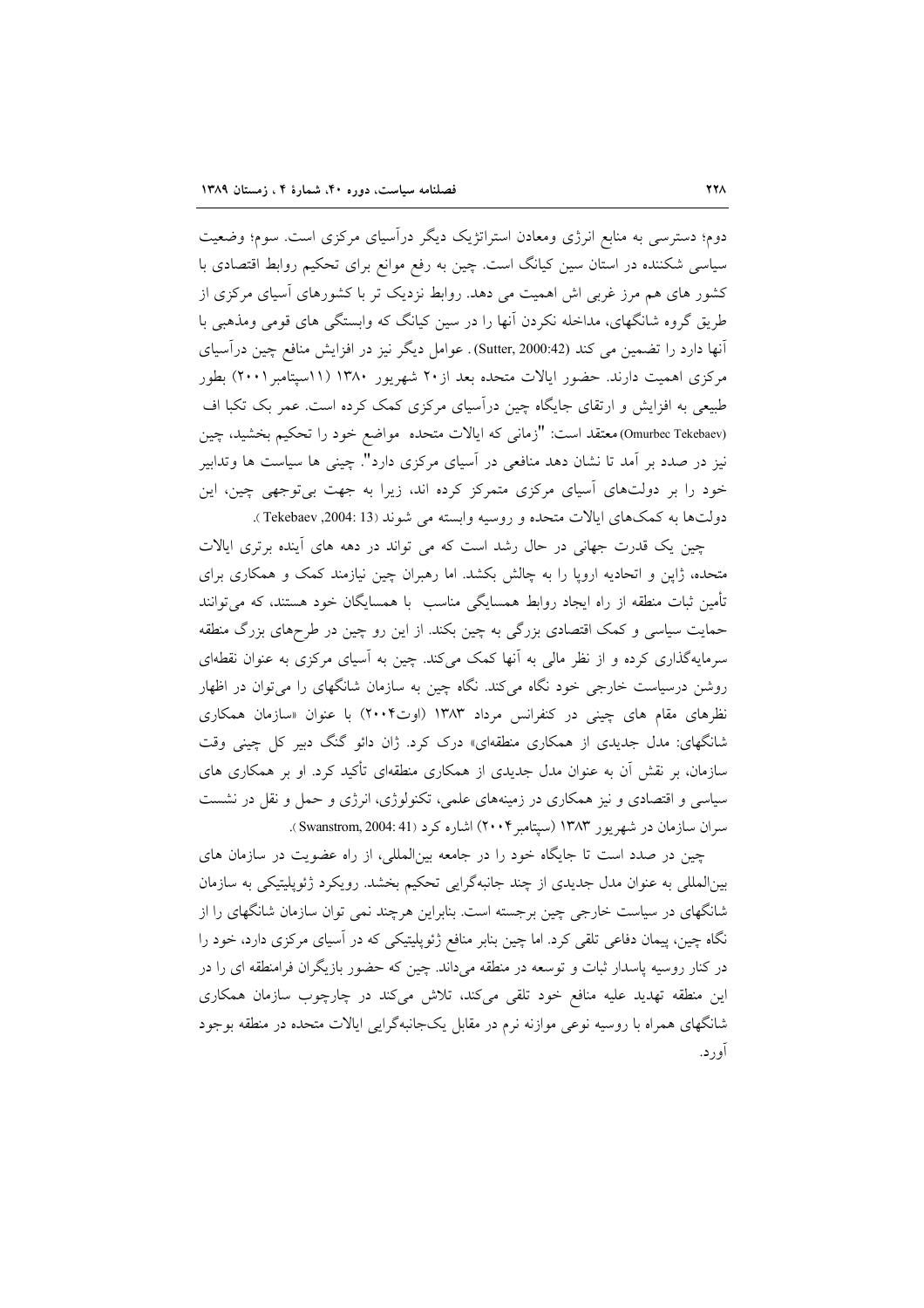دوم؛ دسترسی به منابع انرژی ومعادن استراتژیک دیگر درآسیای مرکزی است. سوم؛ وضعیت سیاسی شکننده در استان سین کیانگ است. چین به رفع موانع برای تحکیم روابط اقتصادی با کشور های هم مرز غربی اش اهمیت می دهد. روابط نزدیک تر با کشورهای آسیای مرکزی از طریق گروه شانگهای، مداخله نکردن انها را در سین کیانگ که وابستگی های قومی ومذهبی با آنها دارد را تضمین می کند (Sutter, 2000:42). عوامل دیگر نیز در افزایش منافع چین درآسیای مرکزی اهمیت دارند. حضور ایالات متحده بعد از ۲۰ شهریور ۱۳۸۰ (۱۱سپتامبر ۲۰۰۱) بطور طبیعی به افزایش و ارتقای جایگاه چین درآسیای مرکزی کمک کرده است. عمر بک تکبا اف (Omurbec Tekebaev)معتقد است: "زماني كه ايالات متحده مواضع خود را تحكيم بخشيد، چين نیز در صدد بر آمد تا نشان دهد منافعی در آسیای مرکزی دارد". چینی ها سیاست ها وتدابیر خود را بر دولتهای آسیای مرکزی متمرکز کرده اند، زیرا به جهت بی توجهی چین، این دولتها به كمكهاي ايالات متحده و روسيه وابسته مي شوند (13 :2004, Tekebaev ).

چین یک قدرت جهانی در حال رشد است که می تواند در دهه های آینده برتری ایالات متحده، ژاپن و اتحادیه اروپا را به چالش بکشد. اما رهبران چین نیازمند کمک و همکاری برای تأمین ثبات منطقه از راه ایجاد روابط همسایگی مناسب با همسایگان خود هستند، که می توانند حمایت سیاسی و کمک اقتصادی بزرگی به چین بکند. از این رو چین در طرحهای بزرگ منطقه سرمایهگذاری کرده و از نظر مالی به آنها کمک میکند. چین به آسیای مرکزی به عنوان نقطهای روشن درسیاست خارجی خود نگاه میکند. نگاه چین به سازمان شانگهای را میتوان در اظهار نظرهای مقام های چینی در کنفرانس مرداد ۱۳۸۳ (اوت۲۰۰۴) با عنوان «سازمان همکاری شانگهای: مدل جدیدی از همکاری منطقهای» درک کرد. ژان دائو گنگ دبیر کل چینی وقت سازمان، بر نقش آن به عنوان مدل جدیدی از همکاری منطقهای تأکید کرد. او بر همکاری های سیاسی و اقتصادی و نیز همکاری در زمینههای علمی، تکنولوژی، انرژی و حمل و نقل در نشست سران سازمان در شهریور ۱۳۸۳ (سپتامبر۲۰۰۴) اشاره کرد (Swanstrom, 2004: 41).

چین در صدد است تا جایگاه خود را در جامعه بینالمللی، از راه عضویت در سازمان های بینالمللی به عنوان مدل جدیدی از چند جانبهگرایی تحکیم بخشد. رویکرد ژئوپلیتیکی به سازمان شانگهای در سیاست خارجی چین برجسته است. بنابراین هرچند نمی توان سازمان شانگهای را از نگاه چین، پیمان دفاعی تلقی کرد. اما چین بنابر منافع ژئوپلیتیکی که در آسیای مرکزی دارد، خود را در کنار روسیه پاسدار ثبات و توسعه در منطقه میداند. چین که حضور بازیگران فرامنطقه ای را در این منطقه تهدید علیه منافع خود تلقی میکند، تلاش میکند در چارچوب سازمان همکاری شانگهای همراه با روسیه نوعی موازنه نرم در مقابل یکجانبهگرایی ایالات متحده در منطقه بوجود آو ر د.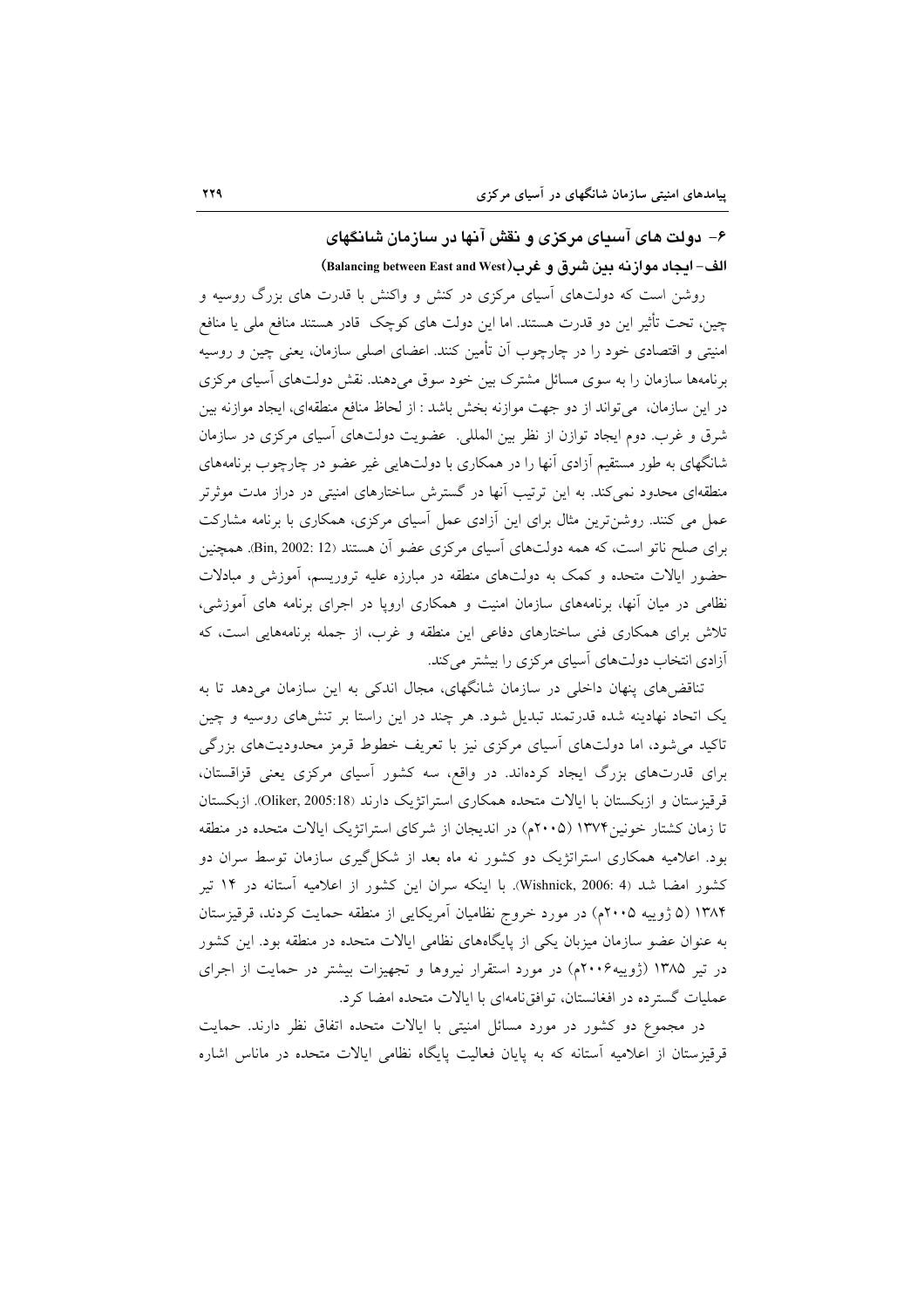# ۶– دولت های آسیای مرکزی و نقش آنها در سازمان شانگهای الف- ايجاد موازنه بين شرق و غرب(Balancing between East and West)

روشن است که دولتهای آسیای مرکزی در کنش و واکنش با قدرت های بزرگ روسیه و چین، تحت تأثیر این دو قدرت هستند. اما این دولت های کوچک قادر هستند منافع ملی یا منافع امنیتی و اقتصادی خود را در چارچوب آن تأمین کنند. اعضای اصلی سازمان، یعنی چین و روسیه برنامهها سازمان را به سوی مسائل مشترک بین خود سوق میدهند. نقش دولتهای آسیای مرکزی در این سازمان، میتواند از دو جهت موازنه بخش باشد : از لحاظ منافع منطقهای، ایجاد موازنه بین شرق و غرب. دوم ایجاد توازن از نظر بین المللی. عضویت دولتهای آسیای مرکزی در سازمان شانگهای به طور مستقیم آزادی آنها را در همکاری با دولتهایی غیر عضو در چارچوب برنامههای منطقهای محدود نمی کند. به این ترتیب آنها در گسترش ساختارهای امنیتی در دراز مدت موثرتر عمل می کنند. روشنترین مثال برای این آزادی عمل آسیای مرکزی، همکاری با برنامه مشارکت برای صلح ناتو است، که همه دولتهای آسیای مرکزی عضو آن هستند (Bin, 2002: 12. همچنین حضور ایالات متحده و کمک به دولتهای منطقه در مبارزه علیه تروریسم، آموزش و مبادلات نظامی در میان آنها، برنامههای سازمان امنیت و همکاری اروپا در اجرای برنامه های آموزشی، تلاش برای همکاری فنی ساختارهای دفاعی این منطقه و غرب، از جمله برنامههایی است، که آزادی انتخاب دولتهای آسیای مرکزی را بیشتر میکند.

تناقض های پنهان داخل<sub>ی</sub> در سازمان شانگهای، مجال اندکی به این سازمان میدهد تا به یک اتحاد نهادینه شده قدرتمند تبدیل شود. هر چند در این راستا بر تنشهای روسیه و چین تاکید می شود، اما دولتهای آسیای مرکزی نیز با تعریف خطوط قرمز محدودیتهای بزرگی برای قدرتهای بزرگ ایجاد کردهاند. در واقع، سه کشور آسیای مرکزی یعنی قزاقستان، قرقیزستان و ازبکستان با ایالات متحده همکاری استراتژیک دارند (Oliker, 2005:18). ازبکستان تا زمان کشتار خونین ۱۳۷۴ (۲۰۰۵م) در اندیجان از شرکای استراتژیک ایالات متحده در منطقه بود. اعلامیه همکاری استراتژیک دو کشور نه ماه بعد از شکل گیری سازمان توسط سران دو کشور امضا شد (Wishnick, 2006: 4). با اینکه سران این کشور از اعلامیه آستانه در ۱۴ تیر ۱۳۸۴ (۵ ژوییه ۲۰۰۵م) در مورد خروج نظامیان آمریکایی از منطقه حمایت کردند، قرقیزستان به عنوان عضو سازمان میزبان یکی از پایگاههای نظامی ایالات متحده در منطقه بود. این کشور در تیر ۱۳۸۵ (ژوپیه۲۰۰۶م) در مورد استقرار نیروها و تجهیزات بیشتر در حمایت از اجرای عملیات گستر ده در افغانستان، توافق نامهای با ایالات متحده امضا کرد.

در مجموع دو کشور در مورد مسائل امنیتی با ایالات متحده اتفاق نظر دارند. حمایت قرقیزستان از اعلامیه آستانه که به پایان فعالیت پایگاه نظامی ایالات متحده در ماناس اشاره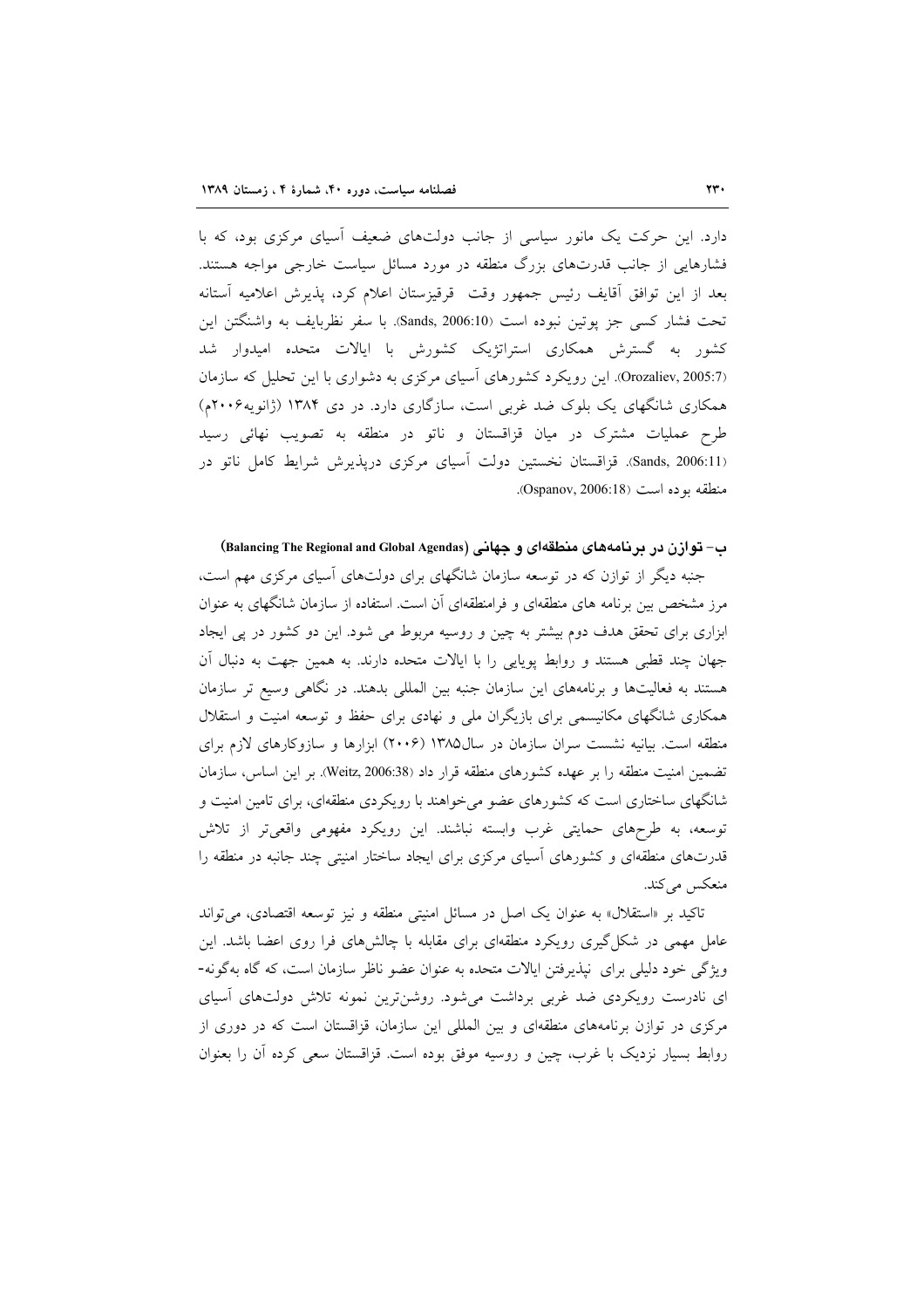دارد. این حرکت یک مانور سیاسی از جانب دولتهای ضعیف آسیای مرکزی بود، که با فشارهایی از جانب قدرتهای بزرگ منطقه در مورد مسائل سیاست خارجی مواجه هستند. بعد از این توافق أقایف رئیس جمهور وقت ً قرقیزستان اعلام کرد، پذیرش اعلامیه اَستانه تحت فشار كسى جز يوتين نبوده است (Sands, 2006:10). با سفر نظربايف به واشنگتن اين کشور به گسترش همکاری استراتژیک کشورش با ایالات متحده امیدوار شد (Orozaliev, 2005:7). این رویکرد کشورهای آسیای مرکزی به دشواری با این تحلیل که سازمان همکاری شانگهای یک بلوک ضد غربی است، سازگاری دارد. در دی ۱۳۸۴ (ژانویه ۲۰۰۶م) طرح عملیات مشترک در میان قزاقستان و ناتو در منطقه به تصویب نهائی رسید (Sands, 2006:11.). قزاقستان نخستین دولت اسیای مرکزی دریذیرش شرایط کامل ناتو در منطقه بوده است (Ospanov, 2006:18).

### ب- توازن در برنامههای منطقهای و جهانی (Balancing The Regional and Global Agendas)

جنبه دیگر از توازن که در توسعه سازمان شانگهای برای دولتهای آسیای مرکزی مهم است، مرز مشخص بین برنامه های منطقهای و فرامنطقهای آن است. استفاده از سازمان شانگهای به عنوان ابزاری برای تحقق هدف دوم بیشتر به چین و روسیه مربوط می شود. این دو کشور در پی ایجاد جهان چند قطبی هستند و روابط پویایی را با ایالات متحده دارند. به همین جهت به دنبال آن هستند به فعالیتها و برنامههای این سازمان جنبه بین المللی بدهند. در نگاهی وسیع تر سازمان همکاری شانگهای مکانیسمی برای بازیگران ملی و نهادی برای حفظ و توسعه امنیت و استقلال منطقه است. بیانیه نشست سران سازمان در سال۱۳۸۵ (۲۰۰۶) ابزارها و سازوکارهای لازم برای تضمین امنیت منطقه را بر عهده کشورهای منطقه قرار داد (Weitz, 2006:38). بر این اساس، سازمان شانگهای ساختاری است که کشورهای عضو می خواهند با رویکردی منطقهای، برای تامین امنیت و توسعه، به طرحهای حمایتی غرب وابسته نباشند. این رویکرد مفهومی واقعیتر از تلاش قدرتهای منطقهای و کشورهای آسیای مرکزی برای ایجاد ساختار امنیتی چند جانبه در منطقه را منعکس میکند.

تاکید بر «استقلال» به عنوان یک اصل در مسائل امنیتی منطقه و نیز توسعه اقتصادی، می تواند عامل مهمی در شکل گیری رویکرد منطقهای برای مقابله با چالشهای فرا روی اعضا باشد. این ویژگی خود دلیلی برای نیذیرفتن ایالات متحده به عنوان عضو ناظر سازمان است، که گاه بهگونه-ای نادرست رویکردی ضد غربی برداشت میشود. روشن ترین نمونه تلاش دولتهای آسیای مرکزی در توازن برنامههای منطقهای و بین المللی این سازمان، قزاقستان است که در دوری از روابط بسیار نزدیک با غرب، چین و روسیه موفق بوده است. قزاقستان سعی کرده اَن را بعنوان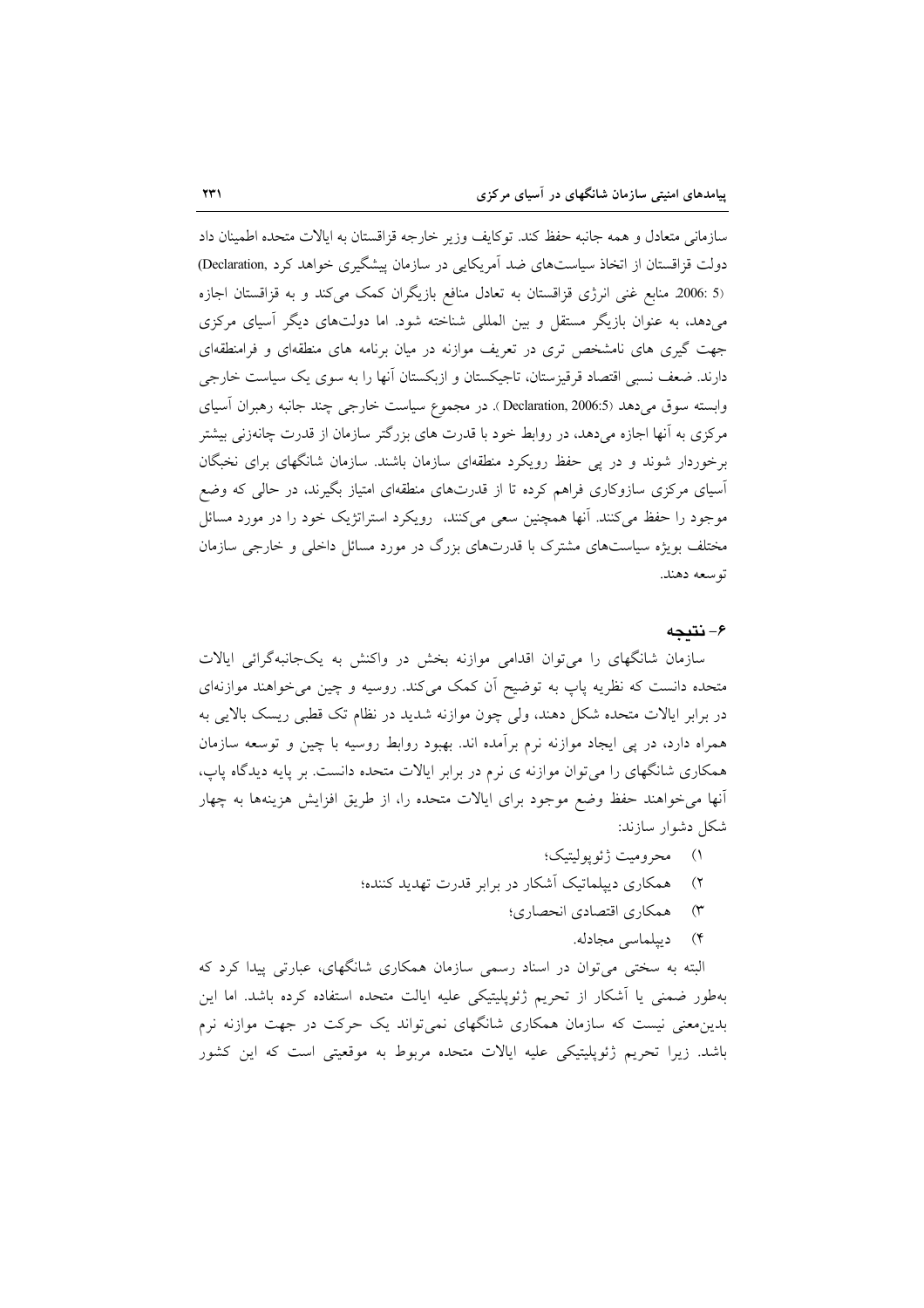سازماني متعادل و همه جانبه حفظ كند. توكايف وزير خارجه قزاقستان به ايالات متحده اطمينان داد دولت قزاقستان از اتخاذ سیاستهای ضد آمریکایی در سازمان پیشگیری خواهد کرد ,Declaration) (5 :2006 منابع غنی انرژی قزاقستان به تعادل منافع بازیگران کمک می کند و به قزاقستان اجازه میدهد، به عنوان بازیگر مستقل و بین المللی شناخته شود. اما دولتهای دیگر آسیای مرکزی جهت گیری های نامشخص تری در تعریف موازنه در میان برنامه های منطقهای و فرامنطقهای دارند. ضعف نسبی اقتصاد قرقیزستان، تاجیکستان و ازبکستان آنها را به سوی یک سیاست خارجی وابسته سوق مي دهد (Declaration, 2006:5 ). در مجموع سياست خارجي چند جانبه رهبران آسياي مرکزی به آنها اجازه می دهد، در روابط خود با قدرت های بزرگتر سازمان از قدرت چانهزنی بیشتر برخوردار شوند و در پی حفظ رویکرد منطقهای سازمان باشند. سازمان شانگهای برای نخبگان آسیای مرکزی سازوکاری فراهم کرده تا از قدرتهای منطقهای امتیاز بگیرند، در حالی که وضع موجود را حفظ می کنند. آنها همچنین سعی می کنند، رویکرد استراتژیک خود را در مورد مسائل مختلف بویژه سیاستهای مشترک با قدرتهای بزرگ در مورد مسائل داخلی و خارجی سازمان توسعه دهند.

### ۶– نتىجە

سازمان شانگهای را میتوان اقدامی موازنه بخش در واکنش به یکجانبهگرائی ایالات متحده دانست که نظریه پاپ به توضیح اَن کمک میکند. روسیه و چین می خواهند موازنهای در برابر ایالات متحده شکل دهند، ولی چون موازنه شدید در نظام تک قطبی ریسک بالایی به همراه دارد، در پی ایجاد موازنه نرم برآمده اند. بهبود روابط روسیه با چین و توسعه سازمان همکاری شانگهای را میتوان موازنه ی نرم در برابر ایالات متحده دانست. بر پایه دیدگاه پاپ، آنها می خواهند حفظ وضع موجود برای ایالات متحده را، از طریق افزایش هزینهها به چهار شکل دشوار سازند:

- ١) محروميت ژئوپوليتيک؛
- ۲) همکاری دیپلماتیک آشکار در برابر قدرت تهدید کننده؛
	- ۳) همکاری اقتصادی انحصاری؛
		- ۴) دیپلماسی مجادله.

البته به سختی میتوان در اسناد رسمی سازمان همکاری شانگهای، عبارتی پیدا کرد که بهطور ضمنی یا آشکار از تحریم ژئوپلیتیکی علیه ایالت متحده استفاده کرده باشد. اما این بدین معنی نیست که سازمان همکاری شانگهای نمیتواند یک حرکت در جهت موازنه نرم باشد. زیرا تحریم ژئوپلیتیکی علیه ایالات متحده مربوط به موقعیتی است که این کشور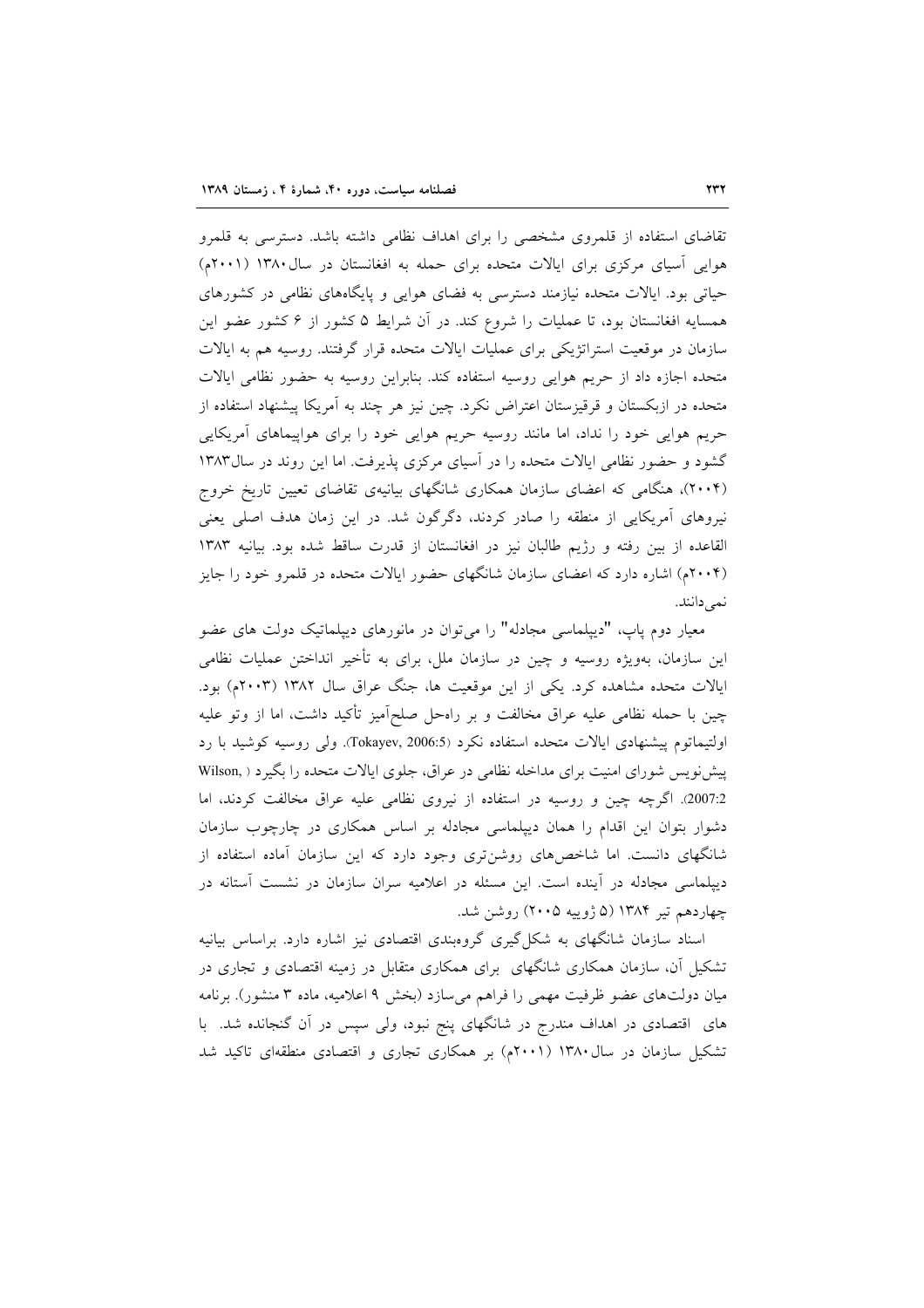تقاضای استفاده از قلمروی مشخصی را برای اهداف نظامی داشته باشد. دسترسی به قلمرو هوایی آسیای مرکزی برای ایالات متحده برای حمله به افغانستان در سال ۱۳۸۰ (۲۰۰۱م) حیاتی بود. ایالات متحده نیازمند دسترسی به فضای هوایی و پایگاههای نظامی در کشورهای همسایه افغانستان بود، تا عملیات را شروع کند. در آن شرایط ۵ کشور از ۶ کشور عضو این سازمان در موقعیت استراتژیکی برای عملیات ایالات متحده قرار گرفتند. روسیه هم به ایالات متحده اجازه داد از حریم هوایی روسیه استفاده کند. بنابراین روسیه به حضور نظامی ایالات متحده در ازبکستان و قرقیزستان اعتراض نکرد. چین نیز هر چند به آمریکا پیشنهاد استفاده از حریم هوایی خود را نداد، اما مانند روسیه حریم هوایی خود را برای هواپیماهای آمریکایی گشود و حضور نظامی ایالات متحده را در آسیای مرکزی پذیرفت. اما این روند در سال ۱۳۸۳ (۲۰۰۴)، هنگامی که اعضای سازمان همکاری شانگهای بیانیهی تقاضای تعیین تاریخ خروج نیروهای آمریکایی از منطقه را صادر کردند، دگرگون شد. در این زمان هدف اصلی یعنی القاعده از بين رفته و رژيم طالبان نيز در افغانستان از قدرت ساقط شده بود. بيانيه ١٣٨٣ (۲۰۰۴م) اشاره دارد که اعضای سازمان شانگهای حضور ایالات متحده در قلمرو خود را جایز نمىدانند.

معیار دوم پاپ، "دیپلماسی مجادله" را میتوان در مانورهای دیپلماتیک دولت های عضو این سازمان، بهویژه روسیه و چین در سازمان ملل، برای به تأخیر انداختن عملیات نظامی ایالات متحده مشاهده کرد. یکی از این موقعیت ها، جنگ عراق سال ۱۳۸۲ (۲۰۰۳م) بود. چین با حمله نظامی علیه عراق مخالفت و بر راهحل صلحاًمیز تأکید داشت، اما از وتو علیه اولتيماتوم پيشنهادي ايالات متحده استفاده نكرد (2006:5). Tokayev, ولي روسيه كوشيد با رد پیشنویس شورای امنیت برای مداخله نظامی در عراق، جلوی ایالات متحده را بگیرد ( .Wilson 2:007). اگرچه چین و روسیه در استفاده از نیروی نظامی علیه عراق مخالفت کردند، اما دشوار بتوان این اقدام را همان دیپلماسی مجادله بر اساس همکاری در چارچوب سازمان شانگهای دانست. اما شاخصهای روشنتری وجود دارد که این سازمان آماده استفاده از دیپلماسی مجادله در آینده است. این مسئله در اعلامیه سران سازمان در نشست آستانه در چهاردهم تیر ۱۳۸۴ (۵ ژوپیه ۲۰۰۵) روشن شد.

اسناد سازمان شانگهای به شکل گیری گروهبندی اقتصادی نیز اشاره دارد. براساس بیانیه تشکیل آن، سازمان همکاری شانگهای برای همکاری متقابل در زمینه اقتصادی و تجاری در میان دولتهای عضو ظرفیت مهمی را فراهم میسازد (بخش ۹ اعلامیه، ماده ۳ منشور). برنامه های اقتصادی در اهداف مندرج در شانگهای پنج نبود، ولی سپس در آن گنجانده شد. با تشکیل سازمان در سال ۱۳۸۰ (۲۰۰۱م) بر همکاری تجاری و اقتصادی منطقهای تاکید شد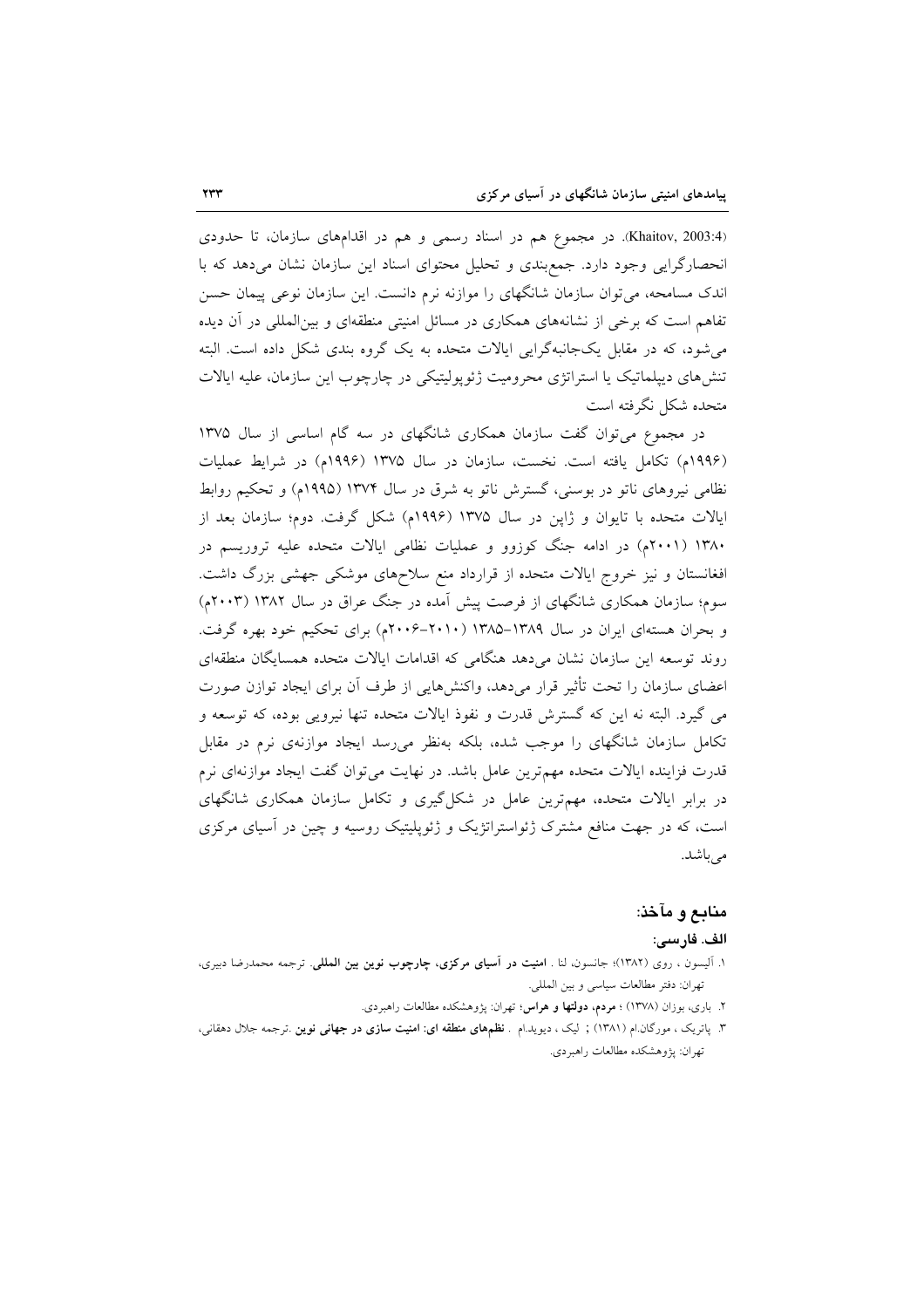(Khaitov, 2003:4). در مجموع هم در اسناد رسمی و هم در اقدامهای سازمان، تا حدودی انحصارگرایی وجود دارد. جمع بندی و تحلیل محتوای اسناد این سازمان نشان می دهد که با اندک مسامحه، می توان سازمان شانگهای را موازنه نرم دانست. این سازمان نوعی پیمان حسن تفاهم است که برخی از نشانههای همکاری در مسائل امنیتی منطقهای و بینالمللی در آن دیده می شود، که در مقابل یکجانبهگرایی ایالات متحده به یک گروه بندی شکل داده است. البته تنشهای دیپلماتیک یا استراتژی محرومیت ژئوپولیتیکی در چارچوب این سازمان، علیه ایالات متحده شكل نگرفته است

در مجموع می توان گفت سازمان همکاری شانگهای در سه گام اساسی از سال ۱۳۷۵ (۱۹۹۶م) تکامل یافته است. نخست، سازمان در سال ۱۳۷۵ (۱۹۹۶م) در شرایط عملیات نظامی نیروهای ناتو در بوسنی، گسترش ناتو به شرق در سال ۱۳۷۴ (۱۹۹۵م) و تحکیم روابط ایالات متحده با تایوان و ژاپن در سال ۱۳۷۵ (۱۹۹۶م) شکل گرفت. دوم؛ سازمان بعد از ۱۳۸۰ (۲۰۰۱م) در ادامه جنگ کوزوو و عملیات نظامی ایالات متحده علیه تروریسم در افغانستان و نیز خروج ایالات متحده از قرارداد منع سلاحهای موشکی جهشی بزرگ داشت. سوم؛ سازمان همکاری شانگهای از فرصت پیش آمده در جنگ عراق در سال ۱۳۸۲ (۲۰۰۳م) و بحران هستهای ایران در سال ۱۳۸۹–۱۳۸۵ (۲۰۱۰–۲۰۰۶م) برای تحکیم خود بهره گرفت. روند توسعه این سازمان نشان میدهد هنگامی که اقدامات ایالات متحده همسایگان منطقهای اعضای سازمان را تحت تأثیر قرار میدهد، واکنشهایی از طرف آن برای ایجاد توازن صورت می گیرد. البته نه این که گسترش قدرت و نفوذ ایالات متحده تنها نیرویی بوده، که توسعه و تکامل سازمان شانگهای را موجب شده، بلکه بهنظر می رسد ایجاد موازنهی نرم در مقابل قدرت فزاینده ایالات متحده مهمترین عامل باشد. در نهایت میتوان گفت ایجاد موازنهای نرم در برابر ایالات متحده، مهمترین عامل در شکل گیری و تکامل سازمان همکاری شانگهای است، که در جهت منافع مشترک ژئواستراتژیک و ژئوپلیتیک روسیه و چین در آسیای مرکزی می باشد.

### منابع و مآخذ:

### الف. فارسى:

- ١. آلیسون ، روی (١٣٨٢)؛ جانسون، لنا . امنیت در آسیای مركزی، چارچوب نوین بین المللی. ترجمه محمدرضا دبیری، تهران: دفتر مطالعات سياسي وبين المللي.
	- ۲. باری، بوزان (۱۳۷۸) ؛ **مردم، دولتها و هراس**؛ تهران: پژوهشکده مطالعات راهبردی.
- ۳. پاتریک ، مورگان ام (۱۳۸۱) ; لیک ، دیوید ام . **نظمهای منطقه ای: امنیت سازی در جهانی نوین** .ترجمه جلال دهقانی، تهران: يژوهشكده مطالعات راهبردي.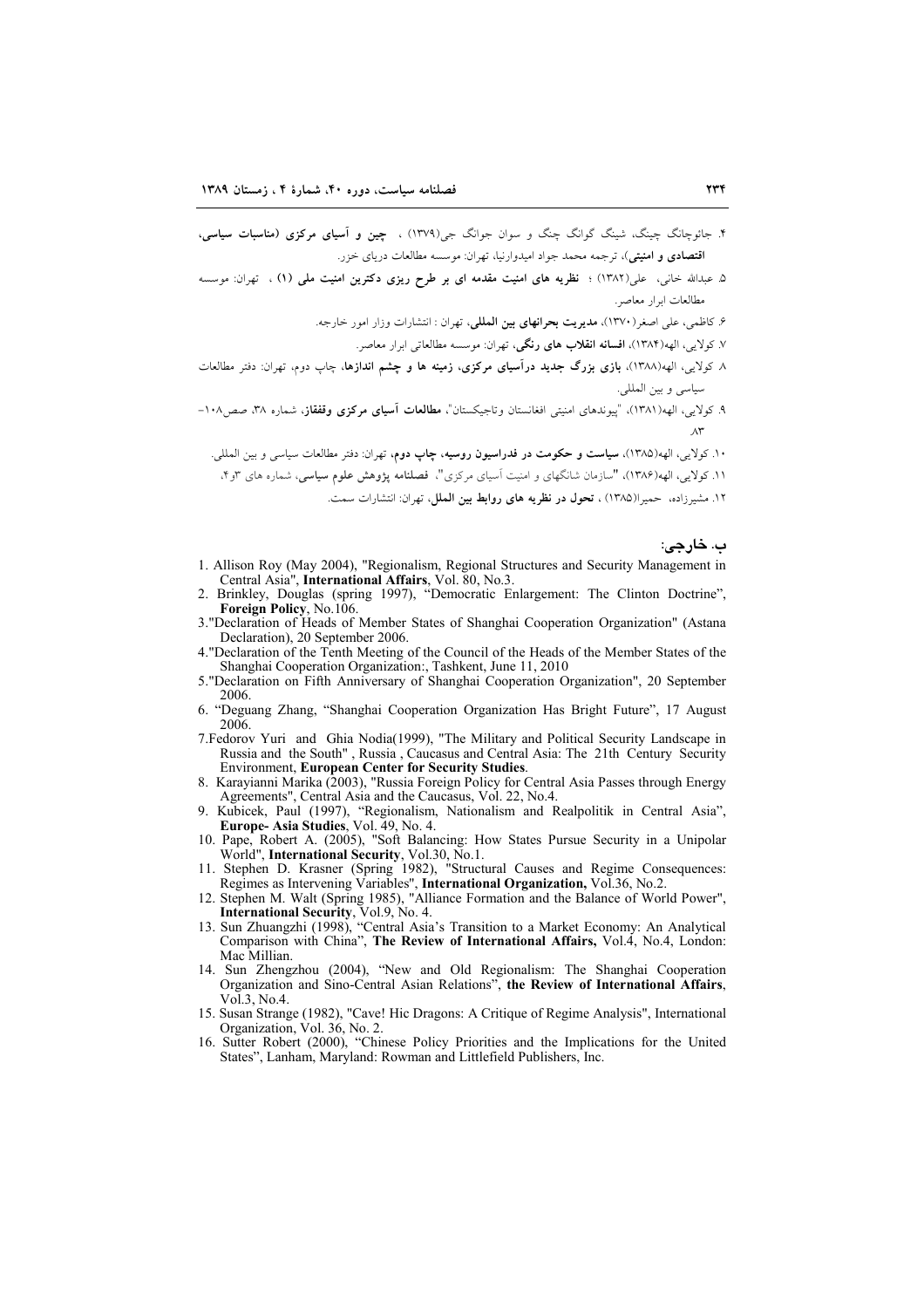- ۴. جائوجانگ چینگ، شینگ گوانگ چنگ و سوان جوانگ جی(۱۳۷۹) ، چین و آ<mark>سیای مرکزی (مناسبات سیاسی</mark>، ا**قتصادی و امنیتی**)، ترجمه محمد جواد امیدوارنیا، تهران: موسسه مطالعات دریای خزر.
- ۵. عبدالله خان<sub>ه ،</sub> علی(۱۳۸۲) ؛ **نظریه های امنیت مقدمه ای بر طرح ریزی دکترین امنیت ملی (۱) ، تهران: موسسه** مطالعات ابرار معاصر.
	- ۶. کاظمی، علی اصغر(۱۳۷۰)، م**دیریت بحرانهای بین المللی**، تهران : انتشارات وزار امور خارجه.
		- ٧. كولايي، الهه(١٣٨٤)، **افسانه انقلاب هاي رنگي**، تهران: موسسه مطالعاتي ايرار معاصر.
- ۸ کولایی، الهه(۱۳۸۸)، بازی بزرگ جدید درآسیای مرکزی، زمینه ها و چشم اندازها، چاپ دوم، تهران: دفتر مطالعات سياسي وبين المللي.
- ۹. کولایی، الهه(۱۳۸۱)، "پیوندهای امنیتی افغانستان وتاجیکستان"، مطالعات آ<mark>سیای مرکزی وقفقاز</mark>، شماره ۳۸، صص<sub>۱</sub>۰۸-
	- ۱۰. کولایے، الھه(۱۳۸۵)، **سیاست و حکومت در فدراسیون روسیه، جاب دوم،** تھران: دفتر مطالعات سیاسی و بین المللے.
	- ۱۱. کولایی، الهه(۱۳۸۶)، "سازمان شانگهای و امنیت آسیای مرکزی"، فصلنامه پژوهش علوم سیاسی، شماره های ۳و۴،
		- ۱۲. مشیرزاده، حمیرا(۱۳۸۵)، **تحول در نظریه های روابط بین الملل**، تهران: انتشارات سمت.

#### ب. خارجي:

- 1. Allison Roy (May 2004), "Regionalism, Regional Structures and Security Management in Central Asia", International Affairs, Vol. 80, No.3.
- Brinkley, Douglas (spring 1997), "Democratic Enlargement: The Clinton Doctrine",  $\mathcal{L}$ Foreign Policy, No.106.
- 3. "Declaration of Heads of Member States of Shanghai Cooperation Organization" (Astana Declaration), 20 September 2006.
- 4. "Declaration of the Tenth Meeting of the Council of the Heads of the Member States of the Shanghai Cooperation Organization:, Tashkent, June 11, 2010
- 5."Declaration on Fifth Anniversary of Shanghai Cooperation Organization", 20 September 2006.
- 6. "Deguang Zhang, "Shanghai Cooperation Organization Has Bright Future", 17 August 2006.
- 7. Fedorov Yuri and Ghia Nodia(1999), "The Military and Political Security Landscape in Russia and the South", Russia, Caucasus and Central Asia: The 21th Century Security **Environment, European Center for Security Studies.**
- 8. Karayianni Marika (2003), "Russia Foreign Policy for Central Asia Passes through Energy Agreements", Central Asia and the Caucasus, Vol. 22, No.4.
- 9. Kubicek, Paul (1997), "Regionalism, Nationalism and Realpolitik in Central Asia",<br>Europe-Asia Studies, Vol. 49, No. 4.
- 10. Pape, Robert A. (2005), "Soft Balancing: How States Pursue Security in a Unipolar World", International Security, Vol.30, No.1.<br>11. Stephen D. Krasner (Spring 1982), "Structural Causes and Regime Consequences:
- 
- The Supplem D. Krasner (oping 1982), Suddemar Causes and Regime Consequences.<br>
Regimes as Intervening Variables", **International Organization**, Vol.36, No.2.<br>
12. Stephen M. Walt (Spring 1985), "Alliance Formation and the
- Comparison with China", The Review of International Affairs, Vol.4, No.4, London: Mac Millian.
- 14. Sun Zhengzhou (2004), "New and Old Regionalism: The Shanghai Cooperation Organization and Sino-Central Asian Relations", the Review of International Affairs,  $\overline{Vol}$  3  $\overline{N}$  0 4
- 15. Susan Strange (1982), "Cave! Hic Dragons: A Critique of Regime Analysis", International Organization, Vol. 36, No. 2.
- 16. Sutter Robert (2000), "Chinese Policy Priorities and the Implications for the United States", Lanham, Maryland: Rowman and Littlefield Publishers, Inc.